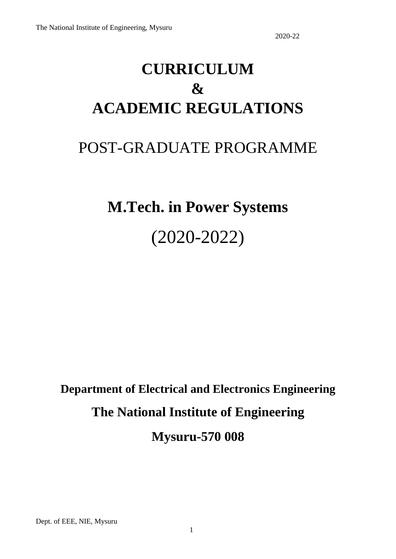# **CURRICULUM & ACADEMIC REGULATIONS**

## POST-GRADUATE PROGRAMME

# **M.Tech. in Power Systems** (2020-2022)

**Department of Electrical and Electronics Engineering The National Institute of Engineering Mysuru-570 008**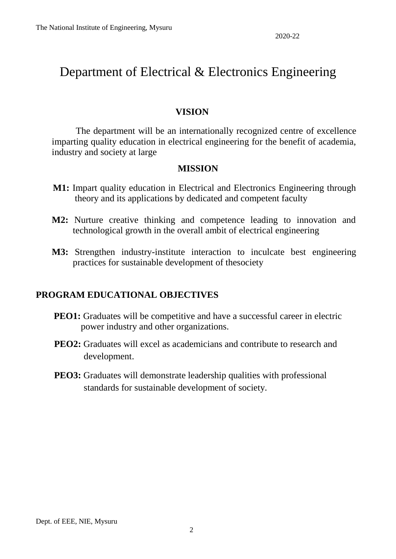### Department of Electrical & Electronics Engineering

#### **VISION**

The department will be an internationally recognized centre of excellence imparting quality education in electrical engineering for the benefit of academia, industry and society at large

#### **MISSION**

- **M1:** Impart quality education in Electrical and Electronics Engineering through theory and its applications by dedicated and competent faculty
- **M2:** Nurture creative thinking and competence leading to innovation and technological growth in the overall ambit of electrical engineering
- **M3:** Strengthen industry-institute interaction to inculcate best engineering practices for sustainable development of thesociety

### **PROGRAM EDUCATIONAL OBJECTIVES**

- **PEO1:** Graduates will be competitive and have a successful career in electric power industry and other organizations.
- **PEO2:** Graduates will excel as academicians and contribute to research and development.
- **PEO3:** Graduates will demonstrate leadership qualities with professional standards for sustainable development of society.

Dept. of EEE, NIE, Mysuru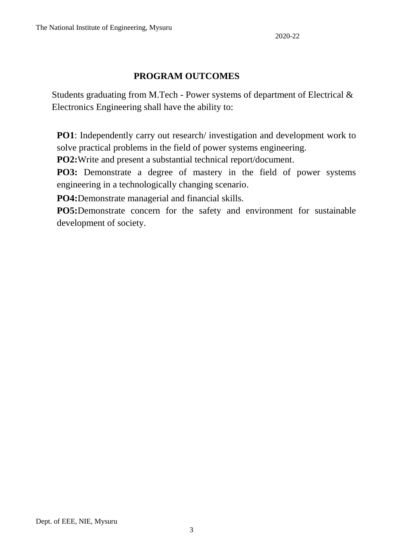### **PROGRAM OUTCOMES**

Students graduating from M.Tech - Power systems of department of Electrical & Electronics Engineering shall have the ability to:

**PO1**: Independently carry out research/ investigation and development work to solve practical problems in the field of power systems engineering.

**PO2:**Write and present a substantial technical report/document.

**PO3:** Demonstrate a degree of mastery in the field of power systems engineering in a technologically changing scenario.

**PO4:**Demonstrate managerial and financial skills.

**PO5:**Demonstrate concern for the safety and environment for sustainable development of society.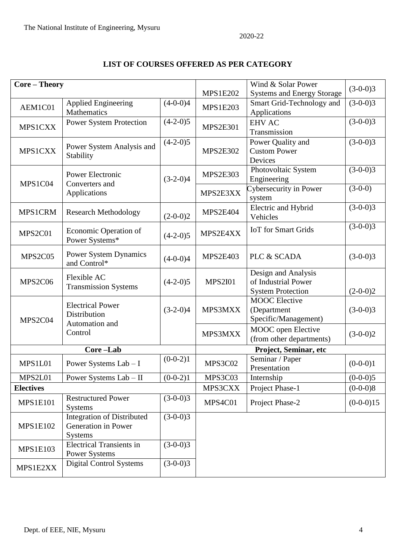### **LIST OF COURSES OFFERED AS PER CATEGORY**

| <b>MPS1E202</b><br><b>Systems and Energy Storage</b><br>Smart Grid-Technology and<br><b>Applied Engineering</b><br>$(4-0-0)4$<br>$(3-0-0)3$<br>AEM1C01<br><b>MPS1E203</b><br>Mathematics<br>Applications<br>$(3-0-0)3$<br>$(4-2-0)5$<br><b>Power System Protection</b><br><b>EHV AC</b><br><b>MPS1CXX</b><br><b>MPS2E301</b><br>Transmission<br>$(3-0-0)3$<br>$(4-2-0)5$<br>Power Quality and<br>Power System Analysis and<br><b>MPS1CXX</b><br><b>MPS2E302</b><br><b>Custom Power</b><br>Stability<br>Devices<br>$(3-0-0)3$<br>Photovoltaic System<br><b>MPS2E303</b><br>Power Electronic<br>$(3-2-0)4$<br>Engineering<br>MPS1C04<br>Converters and<br>Cybersecurity in Power<br>$(3-0-0)$<br>MPS2E3XX<br>Applications<br>system<br>Electric and Hybrid<br>$(3-0-0)3$<br>MPS1CRM<br><b>MPS2E404</b><br><b>Research Methodology</b><br>$(2-0-0)2$<br>Vehicles<br>$(3-0-0)3$<br><b>IoT</b> for Smart Grids<br>Economic Operation of<br>MPS2E4XX<br>MPS2C01<br>$(4-2-0)5$<br>Power Systems*<br><b>Power System Dynamics</b><br>MPS2C05<br><b>MPS2E403</b><br>PLC & SCADA<br>$(3-0-0)3$<br>$(4-0-0)4$<br>and Control*<br>Design and Analysis<br>Flexible AC<br>of Industrial Power<br>MPS2C06<br><b>MPS2I01</b><br>$(4-2-0)5$<br><b>Transmission Systems</b><br><b>System Protection</b><br>$(2-0-0)2$<br><b>MOOC</b> Elective<br><b>Electrical Power</b><br>$(3-2-0)4$<br>MPS3MXX<br>$(3-0-0)3$<br>(Department<br>Distribution<br>Specific/Management)<br>MPS2C04<br>Automation and<br>MOOC open Elective<br>Control<br>MPS3MXX<br>$(3-0-0)2$<br>(from other departments)<br>Core-Lab<br>Project, Seminar, etc<br>Seminar / Paper<br>$(0-0-2)1$<br>MPS3C02<br>$(0-0-0)1$<br>MPS1L01<br>Power Systems Lab - I<br>Presentation<br>MPS2L01<br>Power Systems $Lab$ – II<br>$(0-0-2)1$<br>MPS3C03<br>Internship<br>$(0-0-0)5$<br>MPS3CXX<br>$(0-0-0)8$<br>Project Phase-1<br><b>Electives</b><br>$(3-0-0)3$<br><b>Restructured Power</b><br>MPS4C01<br>Project Phase-2<br>$(0-0-0)15$<br><b>MPS1E101</b><br><b>Systems</b><br>$(3-0-0)3$<br><b>Integration of Distributed</b><br><b>MPS1E102</b><br>Generation in Power<br><b>Systems</b><br>$(3-0-0)3$<br><b>Electrical Transients in</b><br><b>MPS1E103</b><br><b>Power Systems</b><br><b>Digital Control Systems</b><br>$(3-0-0)3$<br>MPS1E2XX |  | Core - Theory |  |  | Wind & Solar Power |            |
|--------------------------------------------------------------------------------------------------------------------------------------------------------------------------------------------------------------------------------------------------------------------------------------------------------------------------------------------------------------------------------------------------------------------------------------------------------------------------------------------------------------------------------------------------------------------------------------------------------------------------------------------------------------------------------------------------------------------------------------------------------------------------------------------------------------------------------------------------------------------------------------------------------------------------------------------------------------------------------------------------------------------------------------------------------------------------------------------------------------------------------------------------------------------------------------------------------------------------------------------------------------------------------------------------------------------------------------------------------------------------------------------------------------------------------------------------------------------------------------------------------------------------------------------------------------------------------------------------------------------------------------------------------------------------------------------------------------------------------------------------------------------------------------------------------------------------------------------------------------------------------------------------------------------------------------------------------------------------------------------------------------------------------------------------------------------------------------------------------------------------------------------------------------------------------------------------------------------------------------------------------------------------------------------|--|---------------|--|--|--------------------|------------|
|                                                                                                                                                                                                                                                                                                                                                                                                                                                                                                                                                                                                                                                                                                                                                                                                                                                                                                                                                                                                                                                                                                                                                                                                                                                                                                                                                                                                                                                                                                                                                                                                                                                                                                                                                                                                                                                                                                                                                                                                                                                                                                                                                                                                                                                                                            |  |               |  |  |                    | $(3-0-0)3$ |
|                                                                                                                                                                                                                                                                                                                                                                                                                                                                                                                                                                                                                                                                                                                                                                                                                                                                                                                                                                                                                                                                                                                                                                                                                                                                                                                                                                                                                                                                                                                                                                                                                                                                                                                                                                                                                                                                                                                                                                                                                                                                                                                                                                                                                                                                                            |  |               |  |  |                    |            |
|                                                                                                                                                                                                                                                                                                                                                                                                                                                                                                                                                                                                                                                                                                                                                                                                                                                                                                                                                                                                                                                                                                                                                                                                                                                                                                                                                                                                                                                                                                                                                                                                                                                                                                                                                                                                                                                                                                                                                                                                                                                                                                                                                                                                                                                                                            |  |               |  |  |                    |            |
|                                                                                                                                                                                                                                                                                                                                                                                                                                                                                                                                                                                                                                                                                                                                                                                                                                                                                                                                                                                                                                                                                                                                                                                                                                                                                                                                                                                                                                                                                                                                                                                                                                                                                                                                                                                                                                                                                                                                                                                                                                                                                                                                                                                                                                                                                            |  |               |  |  |                    |            |
|                                                                                                                                                                                                                                                                                                                                                                                                                                                                                                                                                                                                                                                                                                                                                                                                                                                                                                                                                                                                                                                                                                                                                                                                                                                                                                                                                                                                                                                                                                                                                                                                                                                                                                                                                                                                                                                                                                                                                                                                                                                                                                                                                                                                                                                                                            |  |               |  |  |                    |            |
|                                                                                                                                                                                                                                                                                                                                                                                                                                                                                                                                                                                                                                                                                                                                                                                                                                                                                                                                                                                                                                                                                                                                                                                                                                                                                                                                                                                                                                                                                                                                                                                                                                                                                                                                                                                                                                                                                                                                                                                                                                                                                                                                                                                                                                                                                            |  |               |  |  |                    |            |
|                                                                                                                                                                                                                                                                                                                                                                                                                                                                                                                                                                                                                                                                                                                                                                                                                                                                                                                                                                                                                                                                                                                                                                                                                                                                                                                                                                                                                                                                                                                                                                                                                                                                                                                                                                                                                                                                                                                                                                                                                                                                                                                                                                                                                                                                                            |  |               |  |  |                    |            |
|                                                                                                                                                                                                                                                                                                                                                                                                                                                                                                                                                                                                                                                                                                                                                                                                                                                                                                                                                                                                                                                                                                                                                                                                                                                                                                                                                                                                                                                                                                                                                                                                                                                                                                                                                                                                                                                                                                                                                                                                                                                                                                                                                                                                                                                                                            |  |               |  |  |                    |            |
|                                                                                                                                                                                                                                                                                                                                                                                                                                                                                                                                                                                                                                                                                                                                                                                                                                                                                                                                                                                                                                                                                                                                                                                                                                                                                                                                                                                                                                                                                                                                                                                                                                                                                                                                                                                                                                                                                                                                                                                                                                                                                                                                                                                                                                                                                            |  |               |  |  |                    |            |
|                                                                                                                                                                                                                                                                                                                                                                                                                                                                                                                                                                                                                                                                                                                                                                                                                                                                                                                                                                                                                                                                                                                                                                                                                                                                                                                                                                                                                                                                                                                                                                                                                                                                                                                                                                                                                                                                                                                                                                                                                                                                                                                                                                                                                                                                                            |  |               |  |  |                    |            |
|                                                                                                                                                                                                                                                                                                                                                                                                                                                                                                                                                                                                                                                                                                                                                                                                                                                                                                                                                                                                                                                                                                                                                                                                                                                                                                                                                                                                                                                                                                                                                                                                                                                                                                                                                                                                                                                                                                                                                                                                                                                                                                                                                                                                                                                                                            |  |               |  |  |                    |            |
|                                                                                                                                                                                                                                                                                                                                                                                                                                                                                                                                                                                                                                                                                                                                                                                                                                                                                                                                                                                                                                                                                                                                                                                                                                                                                                                                                                                                                                                                                                                                                                                                                                                                                                                                                                                                                                                                                                                                                                                                                                                                                                                                                                                                                                                                                            |  |               |  |  |                    |            |
|                                                                                                                                                                                                                                                                                                                                                                                                                                                                                                                                                                                                                                                                                                                                                                                                                                                                                                                                                                                                                                                                                                                                                                                                                                                                                                                                                                                                                                                                                                                                                                                                                                                                                                                                                                                                                                                                                                                                                                                                                                                                                                                                                                                                                                                                                            |  |               |  |  |                    |            |
|                                                                                                                                                                                                                                                                                                                                                                                                                                                                                                                                                                                                                                                                                                                                                                                                                                                                                                                                                                                                                                                                                                                                                                                                                                                                                                                                                                                                                                                                                                                                                                                                                                                                                                                                                                                                                                                                                                                                                                                                                                                                                                                                                                                                                                                                                            |  |               |  |  |                    |            |
|                                                                                                                                                                                                                                                                                                                                                                                                                                                                                                                                                                                                                                                                                                                                                                                                                                                                                                                                                                                                                                                                                                                                                                                                                                                                                                                                                                                                                                                                                                                                                                                                                                                                                                                                                                                                                                                                                                                                                                                                                                                                                                                                                                                                                                                                                            |  |               |  |  |                    |            |
|                                                                                                                                                                                                                                                                                                                                                                                                                                                                                                                                                                                                                                                                                                                                                                                                                                                                                                                                                                                                                                                                                                                                                                                                                                                                                                                                                                                                                                                                                                                                                                                                                                                                                                                                                                                                                                                                                                                                                                                                                                                                                                                                                                                                                                                                                            |  |               |  |  |                    |            |
|                                                                                                                                                                                                                                                                                                                                                                                                                                                                                                                                                                                                                                                                                                                                                                                                                                                                                                                                                                                                                                                                                                                                                                                                                                                                                                                                                                                                                                                                                                                                                                                                                                                                                                                                                                                                                                                                                                                                                                                                                                                                                                                                                                                                                                                                                            |  |               |  |  |                    |            |
|                                                                                                                                                                                                                                                                                                                                                                                                                                                                                                                                                                                                                                                                                                                                                                                                                                                                                                                                                                                                                                                                                                                                                                                                                                                                                                                                                                                                                                                                                                                                                                                                                                                                                                                                                                                                                                                                                                                                                                                                                                                                                                                                                                                                                                                                                            |  |               |  |  |                    |            |
|                                                                                                                                                                                                                                                                                                                                                                                                                                                                                                                                                                                                                                                                                                                                                                                                                                                                                                                                                                                                                                                                                                                                                                                                                                                                                                                                                                                                                                                                                                                                                                                                                                                                                                                                                                                                                                                                                                                                                                                                                                                                                                                                                                                                                                                                                            |  |               |  |  |                    |            |
|                                                                                                                                                                                                                                                                                                                                                                                                                                                                                                                                                                                                                                                                                                                                                                                                                                                                                                                                                                                                                                                                                                                                                                                                                                                                                                                                                                                                                                                                                                                                                                                                                                                                                                                                                                                                                                                                                                                                                                                                                                                                                                                                                                                                                                                                                            |  |               |  |  |                    |            |
|                                                                                                                                                                                                                                                                                                                                                                                                                                                                                                                                                                                                                                                                                                                                                                                                                                                                                                                                                                                                                                                                                                                                                                                                                                                                                                                                                                                                                                                                                                                                                                                                                                                                                                                                                                                                                                                                                                                                                                                                                                                                                                                                                                                                                                                                                            |  |               |  |  |                    |            |
|                                                                                                                                                                                                                                                                                                                                                                                                                                                                                                                                                                                                                                                                                                                                                                                                                                                                                                                                                                                                                                                                                                                                                                                                                                                                                                                                                                                                                                                                                                                                                                                                                                                                                                                                                                                                                                                                                                                                                                                                                                                                                                                                                                                                                                                                                            |  |               |  |  |                    |            |
|                                                                                                                                                                                                                                                                                                                                                                                                                                                                                                                                                                                                                                                                                                                                                                                                                                                                                                                                                                                                                                                                                                                                                                                                                                                                                                                                                                                                                                                                                                                                                                                                                                                                                                                                                                                                                                                                                                                                                                                                                                                                                                                                                                                                                                                                                            |  |               |  |  |                    |            |
|                                                                                                                                                                                                                                                                                                                                                                                                                                                                                                                                                                                                                                                                                                                                                                                                                                                                                                                                                                                                                                                                                                                                                                                                                                                                                                                                                                                                                                                                                                                                                                                                                                                                                                                                                                                                                                                                                                                                                                                                                                                                                                                                                                                                                                                                                            |  |               |  |  |                    |            |
|                                                                                                                                                                                                                                                                                                                                                                                                                                                                                                                                                                                                                                                                                                                                                                                                                                                                                                                                                                                                                                                                                                                                                                                                                                                                                                                                                                                                                                                                                                                                                                                                                                                                                                                                                                                                                                                                                                                                                                                                                                                                                                                                                                                                                                                                                            |  |               |  |  |                    |            |
|                                                                                                                                                                                                                                                                                                                                                                                                                                                                                                                                                                                                                                                                                                                                                                                                                                                                                                                                                                                                                                                                                                                                                                                                                                                                                                                                                                                                                                                                                                                                                                                                                                                                                                                                                                                                                                                                                                                                                                                                                                                                                                                                                                                                                                                                                            |  |               |  |  |                    |            |
|                                                                                                                                                                                                                                                                                                                                                                                                                                                                                                                                                                                                                                                                                                                                                                                                                                                                                                                                                                                                                                                                                                                                                                                                                                                                                                                                                                                                                                                                                                                                                                                                                                                                                                                                                                                                                                                                                                                                                                                                                                                                                                                                                                                                                                                                                            |  |               |  |  |                    |            |
|                                                                                                                                                                                                                                                                                                                                                                                                                                                                                                                                                                                                                                                                                                                                                                                                                                                                                                                                                                                                                                                                                                                                                                                                                                                                                                                                                                                                                                                                                                                                                                                                                                                                                                                                                                                                                                                                                                                                                                                                                                                                                                                                                                                                                                                                                            |  |               |  |  |                    |            |
|                                                                                                                                                                                                                                                                                                                                                                                                                                                                                                                                                                                                                                                                                                                                                                                                                                                                                                                                                                                                                                                                                                                                                                                                                                                                                                                                                                                                                                                                                                                                                                                                                                                                                                                                                                                                                                                                                                                                                                                                                                                                                                                                                                                                                                                                                            |  |               |  |  |                    |            |
|                                                                                                                                                                                                                                                                                                                                                                                                                                                                                                                                                                                                                                                                                                                                                                                                                                                                                                                                                                                                                                                                                                                                                                                                                                                                                                                                                                                                                                                                                                                                                                                                                                                                                                                                                                                                                                                                                                                                                                                                                                                                                                                                                                                                                                                                                            |  |               |  |  |                    |            |
|                                                                                                                                                                                                                                                                                                                                                                                                                                                                                                                                                                                                                                                                                                                                                                                                                                                                                                                                                                                                                                                                                                                                                                                                                                                                                                                                                                                                                                                                                                                                                                                                                                                                                                                                                                                                                                                                                                                                                                                                                                                                                                                                                                                                                                                                                            |  |               |  |  |                    |            |
|                                                                                                                                                                                                                                                                                                                                                                                                                                                                                                                                                                                                                                                                                                                                                                                                                                                                                                                                                                                                                                                                                                                                                                                                                                                                                                                                                                                                                                                                                                                                                                                                                                                                                                                                                                                                                                                                                                                                                                                                                                                                                                                                                                                                                                                                                            |  |               |  |  |                    |            |
|                                                                                                                                                                                                                                                                                                                                                                                                                                                                                                                                                                                                                                                                                                                                                                                                                                                                                                                                                                                                                                                                                                                                                                                                                                                                                                                                                                                                                                                                                                                                                                                                                                                                                                                                                                                                                                                                                                                                                                                                                                                                                                                                                                                                                                                                                            |  |               |  |  |                    |            |
|                                                                                                                                                                                                                                                                                                                                                                                                                                                                                                                                                                                                                                                                                                                                                                                                                                                                                                                                                                                                                                                                                                                                                                                                                                                                                                                                                                                                                                                                                                                                                                                                                                                                                                                                                                                                                                                                                                                                                                                                                                                                                                                                                                                                                                                                                            |  |               |  |  |                    |            |
|                                                                                                                                                                                                                                                                                                                                                                                                                                                                                                                                                                                                                                                                                                                                                                                                                                                                                                                                                                                                                                                                                                                                                                                                                                                                                                                                                                                                                                                                                                                                                                                                                                                                                                                                                                                                                                                                                                                                                                                                                                                                                                                                                                                                                                                                                            |  |               |  |  |                    |            |
|                                                                                                                                                                                                                                                                                                                                                                                                                                                                                                                                                                                                                                                                                                                                                                                                                                                                                                                                                                                                                                                                                                                                                                                                                                                                                                                                                                                                                                                                                                                                                                                                                                                                                                                                                                                                                                                                                                                                                                                                                                                                                                                                                                                                                                                                                            |  |               |  |  |                    |            |
|                                                                                                                                                                                                                                                                                                                                                                                                                                                                                                                                                                                                                                                                                                                                                                                                                                                                                                                                                                                                                                                                                                                                                                                                                                                                                                                                                                                                                                                                                                                                                                                                                                                                                                                                                                                                                                                                                                                                                                                                                                                                                                                                                                                                                                                                                            |  |               |  |  |                    |            |
|                                                                                                                                                                                                                                                                                                                                                                                                                                                                                                                                                                                                                                                                                                                                                                                                                                                                                                                                                                                                                                                                                                                                                                                                                                                                                                                                                                                                                                                                                                                                                                                                                                                                                                                                                                                                                                                                                                                                                                                                                                                                                                                                                                                                                                                                                            |  |               |  |  |                    |            |
|                                                                                                                                                                                                                                                                                                                                                                                                                                                                                                                                                                                                                                                                                                                                                                                                                                                                                                                                                                                                                                                                                                                                                                                                                                                                                                                                                                                                                                                                                                                                                                                                                                                                                                                                                                                                                                                                                                                                                                                                                                                                                                                                                                                                                                                                                            |  |               |  |  |                    |            |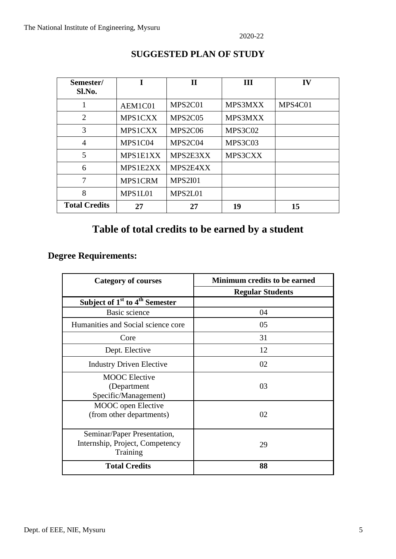| Semester/            |                | $\mathbf H$    | Ш       | IV      |
|----------------------|----------------|----------------|---------|---------|
| Sl.No.               |                |                |         |         |
| 1                    | AEM1C01        | MPS2C01        | MPS3MXX | MPS4C01 |
| $\overline{2}$       | <b>MPS1CXX</b> | MPS2C05        | MPS3MXX |         |
| 3                    | <b>MPS1CXX</b> | MPS2C06        | MPS3C02 |         |
| $\overline{4}$       | MPS1C04        | MPS2C04        | MPS3C03 |         |
| 5                    | MPS1E1XX       | MPS2E3XX       | MPS3CXX |         |
| 6                    | MPS1E2XX       | MPS2E4XX       |         |         |
| 7                    | MPS1CRM        | <b>MPS2I01</b> |         |         |
| 8                    | MPS1L01        | MPS2L01        |         |         |
| <b>Total Credits</b> | 27             | 27             | 19      | 15      |

#### **SUGGESTED PLAN OF STUDY**

### **Table of total credits to be earned by a student**

### **Degree Requirements:**

| <b>Category of courses</b>                                                 | Minimum credits to be earned |
|----------------------------------------------------------------------------|------------------------------|
|                                                                            | <b>Regular Students</b>      |
| Subject of $1st$ to $4th$ Semester                                         |                              |
| Basic science                                                              | 04                           |
| Humanities and Social science core                                         | 05                           |
| Core                                                                       | 31                           |
| Dept. Elective                                                             | 12                           |
| <b>Industry Driven Elective</b>                                            | 02                           |
| <b>MOOC</b> Elective<br>(Department)<br>Specific/Management)               | 03                           |
| MOOC open Elective<br>(from other departments)                             | 02                           |
| Seminar/Paper Presentation,<br>Internship, Project, Competency<br>Training | 29                           |
| <b>Total Credits</b>                                                       | 88                           |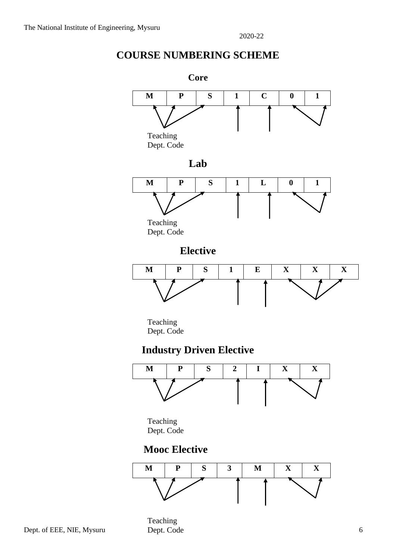### **COURSE NUMBERING SCHEME**

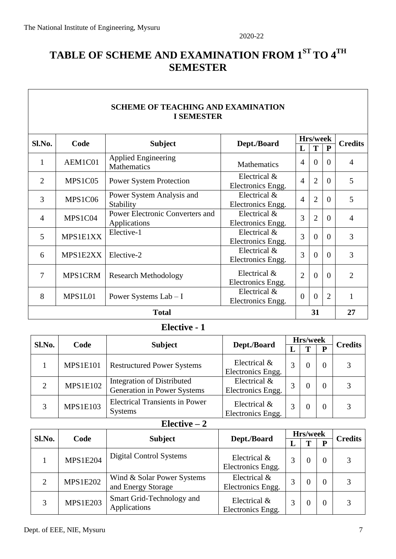### **TABLE OF SCHEME AND EXAMINATION FROM 1ST TO 4TH SEMESTER**

| <b>SCHEME OF TEACHING AND EXAMINATION</b><br><b>I SEMESTER</b> |                                       |                                                 |                                   |                |                |                |                |
|----------------------------------------------------------------|---------------------------------------|-------------------------------------------------|-----------------------------------|----------------|----------------|----------------|----------------|
| Sl.No.                                                         | Code<br><b>Subject</b><br>Dept./Board |                                                 | Hrs/week                          |                | <b>Credits</b> |                |                |
|                                                                |                                       |                                                 |                                   | L              | T              | $\mathbf{P}$   |                |
| $\mathbf{1}$                                                   | AEM1C01                               | <b>Applied Engineering</b><br>Mathematics       | <b>Mathematics</b>                | $\overline{4}$ | $\Omega$       | $\Omega$       | $\overline{4}$ |
| $\overline{2}$                                                 | MPS1C05                               | <b>Power System Protection</b>                  | Electrical &<br>Electronics Engg. | $\overline{4}$ | $\overline{2}$ | $\overline{0}$ | 5              |
| $\overline{3}$                                                 | MPS1C06                               | Power System Analysis and<br>Stability          | Electrical &<br>Electronics Engg. | $\overline{4}$ | $\overline{2}$ | $\Omega$       | 5              |
| $\overline{4}$                                                 | MPS1C04                               | Power Electronic Converters and<br>Applications | Electrical &<br>Electronics Engg. | 3              | $\overline{2}$ | $\overline{0}$ | $\overline{4}$ |
| 5                                                              | MPS1E1XX                              | Elective-1                                      | Electrical &<br>Electronics Engg. | 3              | $\Omega$       | $\Omega$       | 3              |
| 6                                                              | MPS1E2XX                              | Elective-2                                      | Electrical &<br>Electronics Engg. | 3              | $\theta$       | $\Omega$       | 3              |
| 7                                                              | <b>MPS1CRM</b>                        | <b>Research Methodology</b>                     | Electrical &<br>Electronics Engg. | $\overline{2}$ | $\theta$       | $\Omega$       | $\overline{2}$ |
| 8                                                              | MPS1L01                               | Power Systems $Lab - I$                         | Electrical &<br>Electronics Engg. | $\overline{0}$ | $\theta$       | $\overline{2}$ | $\mathbf{1}$   |
|                                                                | <b>Total</b>                          |                                                 |                                   |                |                |                | 27             |

### **Elective - 1**

| Sl.No. | Code            |                                                                  |                                   | Hrs/week |  |  | <b>Credits</b> |
|--------|-----------------|------------------------------------------------------------------|-----------------------------------|----------|--|--|----------------|
|        | <b>Subject</b>  |                                                                  | Dept./Board                       | L        |  |  |                |
|        | <b>MPS1E101</b> | <b>Restructured Power Systems</b>                                | Electrical &<br>Electronics Engg. | 3        |  |  | 3              |
| 2      | <b>MPS1E102</b> | Integration of Distributed<br><b>Generation in Power Systems</b> | Electrical &<br>Electronics Engg. | 3        |  |  |                |
| 3      | <b>MPS1E103</b> | <b>Electrical Transients in Power</b><br><b>Systems</b>          | Electrical &<br>Electronics Engg. |          |  |  | 3              |

### $\overline{\text{Electric} - 2}$

| Sl.No.        | Code            |                                                  | Dept./Board                       | Hrs/week |  |          | <b>Credits</b> |
|---------------|-----------------|--------------------------------------------------|-----------------------------------|----------|--|----------|----------------|
|               |                 | <b>Subject</b>                                   |                                   | IJ       |  |          |                |
|               | <b>MPS1E204</b> | Digital Control Systems                          | Electrical &<br>Electronics Engg. |          |  | $\Omega$ | 3              |
| $\mathcal{D}$ | <b>MPS1E202</b> | Wind & Solar Power Systems<br>and Energy Storage | Electrical &<br>Electronics Engg. |          |  | $\Omega$ |                |
| 3             | <b>MPS1E203</b> | Smart Grid-Technology and<br>Applications        | Electrical &<br>Electronics Engg. | 3        |  | $\Omega$ | 3              |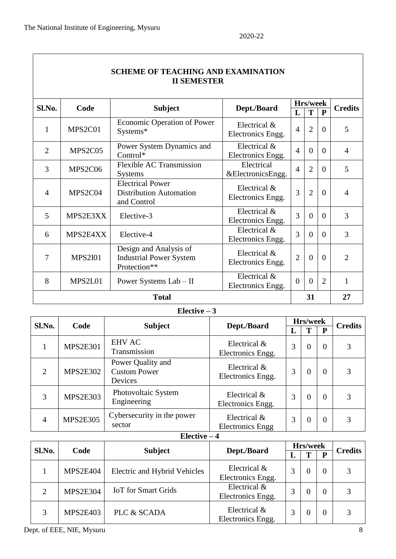|                | <b>SCHEME OF TEACHING AND EXAMINATION</b><br><b>II SEMESTER</b> |                                                                          |                                   |                |                |                |                |  |
|----------------|-----------------------------------------------------------------|--------------------------------------------------------------------------|-----------------------------------|----------------|----------------|----------------|----------------|--|
| Sl.No.         | Code                                                            |                                                                          |                                   |                | Hrs/week       |                |                |  |
|                |                                                                 | <b>Subject</b>                                                           | Dept./Board                       | L              | т              | $\mathbf{P}$   | <b>Credits</b> |  |
| $\mathbf{1}$   | MPS2C01                                                         | Economic Operation of Power<br>Systems*                                  | Electrical &<br>Electronics Engg. | $\overline{4}$ | $\overline{2}$ | $\overline{0}$ | 5              |  |
| $\overline{2}$ | MPS2C05                                                         | Power System Dynamics and<br>Control*                                    | Electrical &<br>Electronics Engg. | $\overline{4}$ | $\Omega$       | $\Omega$       | $\overline{4}$ |  |
| 3              | MPS2C06                                                         | <b>Flexible AC Transmission</b><br><b>Systems</b>                        | Electrical<br>&ElectronicsEngg.   | $\overline{4}$ | $\overline{2}$ | $\overline{0}$ | 5              |  |
| $\overline{4}$ | MPS2C04                                                         | <b>Electrical Power</b><br><b>Distribution Automation</b><br>and Control | Electrical &<br>Electronics Engg. | 3              | $\overline{2}$ | $\theta$       | $\overline{4}$ |  |
| 5              | MPS2E3XX                                                        | Elective-3                                                               | Electrical &<br>Electronics Engg. | 3              | $\Omega$       | $\Omega$       | 3              |  |
| 6              | MPS2E4XX                                                        | Elective-4                                                               | Electrical &<br>Electronics Engg. | 3              | $\Omega$       | $\Omega$       | 3              |  |
| 7              | <b>MPS2I01</b>                                                  | Design and Analysis of<br><b>Industrial Power System</b><br>Protection** | Electrical &<br>Electronics Engg. | $\overline{2}$ | $\theta$       | $\theta$       | $\overline{2}$ |  |
| 8              | MPS2L01                                                         | Power Systems Lab - II                                                   | Electrical &<br>Electronics Engg. | $\Omega$       | $\Omega$       | $\overline{2}$ | 1              |  |
|                |                                                                 | <b>Total</b>                                                             |                                   |                | 31             |                | 27             |  |

### **Elective – 3**

| Sl.No.         | Code            |                                                     |                                         | Hrs/week |                |                | <b>Credits</b> |
|----------------|-----------------|-----------------------------------------------------|-----------------------------------------|----------|----------------|----------------|----------------|
|                |                 | <b>Subject</b>                                      | Dept./Board                             | L        | T              | P              |                |
|                | <b>MPS2E301</b> | <b>EHV AC</b><br>Transmission                       | Electrical &<br>Electronics Engg.       | 3        | $\overline{0}$ | $\Omega$       | 3              |
| $\overline{2}$ | <b>MPS2E302</b> | Power Quality and<br><b>Custom Power</b><br>Devices | Electrical &<br>Electronics Engg.       | 3        | $\overline{0}$ | 0              | 3              |
| 3              | <b>MPS2E303</b> | Photovoltaic System<br>Engineering                  | Electrical &<br>Electronics Engg.       | 3        | $\Omega$       | $\Omega$       | 3              |
| 4              | <b>MPS2E305</b> | Cybersecurity in the power<br>sector                | Electrical &<br><b>Electronics Engg</b> | 3        | $\overline{0}$ | $\overline{0}$ | 3              |

### **Elective – 4**

| Sl.No. | Code            |                                     |                                   | Hrs/week |   |          | <b>Credits</b> |
|--------|-----------------|-------------------------------------|-----------------------------------|----------|---|----------|----------------|
|        |                 | <b>Subject</b>                      | Dept./Board                       |          | m | P        |                |
|        | <b>MPS2E404</b> | <b>Electric and Hybrid Vehicles</b> | Electrical &<br>Electronics Engg. |          | 0 | $\Omega$ |                |
| 2      | <b>MPS2E304</b> | <b>IoT</b> for Smart Grids          | Electrical &<br>Electronics Engg. |          | 0 | $\theta$ |                |
| 3      | <b>MPS2E403</b> | PLC & SCADA                         | Electrical &<br>Electronics Engg. |          | 0 | $\Omega$ |                |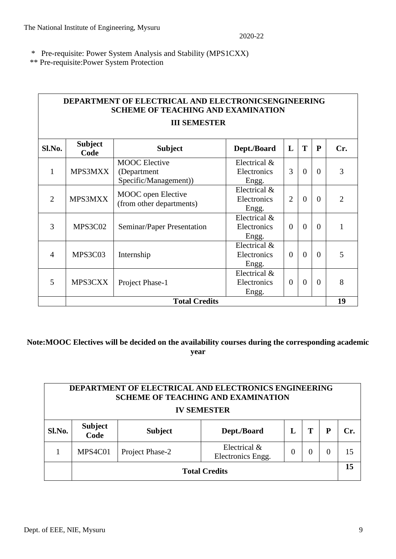\* Pre-requisite: Power System Analysis and Stability (MPS1CXX)

\*\* Pre-requisite:Power System Protection

|                | <b>DEPARTMENT OF ELECTRICAL AND ELECTRONICSENGINEERING</b><br><b>SCHEME OF TEACHING AND EXAMINATION</b> |                                                              |                                      |                |          |              |               |  |
|----------------|---------------------------------------------------------------------------------------------------------|--------------------------------------------------------------|--------------------------------------|----------------|----------|--------------|---------------|--|
|                | <b>III SEMESTER</b>                                                                                     |                                                              |                                      |                |          |              |               |  |
| Sl.No.         | <b>Subject</b><br>Code                                                                                  | <b>Subject</b>                                               | Dept./Board                          | L              | T        | $\mathbf{P}$ | Cr.           |  |
| 1              | MPS3MXX                                                                                                 | <b>MOOC</b> Elective<br>(Department<br>Specific/Management)) | Electrical &<br>Electronics<br>Engg. | 3              | $\theta$ | $\Omega$     | 3             |  |
| $\overline{2}$ | MPS3MXX                                                                                                 | MOOC open Elective<br>(from other departments)               | Electrical &<br>Electronics<br>Engg. | $\overline{2}$ | $\theta$ | $\theta$     | $\mathcal{D}$ |  |
| 3              | MPS3C02                                                                                                 | Seminar/Paper Presentation                                   | Electrical &<br>Electronics<br>Engg. | $\theta$       | $\theta$ | $\Omega$     |               |  |
| $\overline{4}$ | MPS3C03                                                                                                 | Internship                                                   | Electrical &<br>Electronics<br>Engg. | $\theta$       | $\theta$ | $\Omega$     | 5             |  |
| 5              | MPS3CXX                                                                                                 | Project Phase-1                                              | Electrical &<br>Electronics<br>Engg. | $\Omega$       | $\theta$ | $\theta$     | 8             |  |
|                |                                                                                                         | <b>Total Credits</b>                                         |                                      |                |          |              | 19            |  |

**Note:MOOC Electives will be decided on the availability courses during the corresponding academic year**

| <b>DEPARTMENT OF ELECTRICAL AND ELECTRONICS ENGINEERING</b><br><b>SCHEME OF TEACHING AND EXAMINATION</b><br><b>IV SEMESTER</b> |                                                                        |                 |                                   |          |   |  |     |
|--------------------------------------------------------------------------------------------------------------------------------|------------------------------------------------------------------------|-----------------|-----------------------------------|----------|---|--|-----|
| Sl.No.                                                                                                                         | <b>Subject</b><br>Т<br>P<br>Dept./Board<br>L<br><b>Subject</b><br>Code |                 |                                   |          |   |  | Cr. |
|                                                                                                                                | MPS4C01                                                                | Project Phase-2 | Electrical &<br>Electronics Engg. | $\theta$ | 0 |  | 15  |
| <b>Total Credits</b>                                                                                                           |                                                                        |                 |                                   |          |   |  | 15  |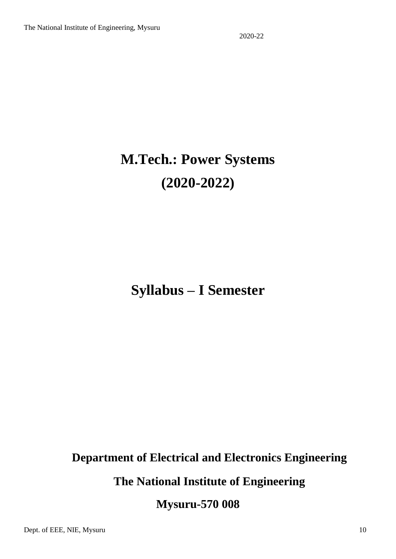# **M.Tech.: Power Systems (2020-2022)**

## **Syllabus – I Semester**

### **Department of Electrical and Electronics Engineering**

**The National Institute of Engineering**

**Mysuru-570 008**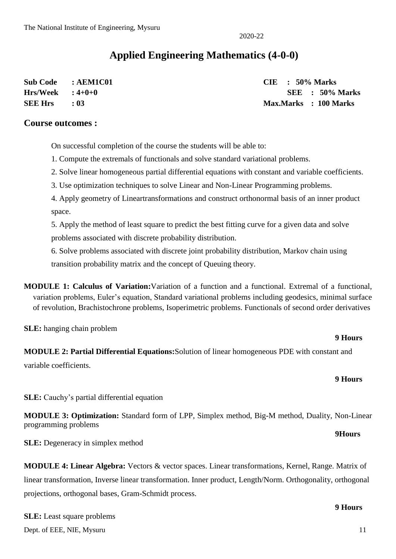### **Applied Engineering Mathematics (4-0-0)**

| Sub Code : AEM1C01 |            | $CIE$ : 50% Marks |                       |
|--------------------|------------|-------------------|-----------------------|
| $Hrs/Week$ : 4+0+0 |            |                   | SEE : 50% Marks       |
| <b>SEE Hrs</b>     | $\cdot$ 03 |                   | Max.Marks : 100 Marks |

#### **Course outcomes :**

On successful completion of the course the students will be able to:

- 1. Compute the extremals of functionals and solve standard variational problems.
- 2. Solve linear homogeneous partial differential equations with constant and variable coefficients.
- 3. Use optimization techniques to solve Linear and Non-Linear Programming problems.
- 4. Apply geometry of Lineartransformations and construct orthonormal basis of an inner product space.

5. Apply the method of least square to predict the best fitting curve for a given data and solve problems associated with discrete probability distribution.

6. Solve problems associated with discrete joint probability distribution, Markov chain using transition probability matrix and the concept of Queuing theory.

**MODULE 1: Calculus of Variation:**Variation of a function and a functional. Extremal of a functional, variation problems, Euler's equation, Standard variational problems including geodesics, minimal surface of revolution, Brachistochrone problems, Isoperimetric problems. Functionals of second order derivatives

**SLE:** hanging chain problem

#### **9 Hours**

**9 Hours**

**MODULE 2: Partial Differential Equations:**Solution of linear homogeneous PDE with constant and variable coefficients.

**SLE:** Cauchy's partial differential equation

**MODULE 3: Optimization:** Standard form of LPP, Simplex method, Big-M method, Duality, Non-Linear programming problems **9Hours**

**SLE:** Degeneracy in simplex method

**MODULE 4: Linear Algebra:** Vectors & vector spaces. Linear transformations, Kernel, Range. Matrix of linear transformation, Inverse linear transformation. Inner product, Length/Norm. Orthogonality, orthogonal projections, orthogonal bases, Gram-Schmidt process.

Dept. of EEE, NIE, Mysuru 11 **SLE:** Least square problems

**9 Hours**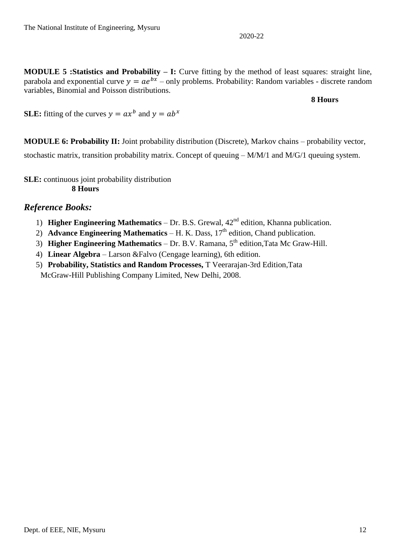**MODULE 5 :Statistics and Probability – I:** Curve fitting by the method of least squares: straight line, parabola and exponential curve  $y = ae^{bx}$  – only problems. Probability: Random variables - discrete random variables, Binomial and Poisson distributions.

**8 Hours**

**SLE:** fitting of the curves  $y = ax^b$  and  $y = ab^x$ 

**MODULE 6: Probability II:** Joint probability distribution (Discrete), Markov chains – probability vector, stochastic matrix, transition probability matrix. Concept of queuing – M/M/1 and M/G/1 queuing system.

**SLE:** continuous joint probability distribution **8 Hours**

#### *Reference Books:*

- 1) **Higher Engineering Mathematics** Dr. B.S. Grewal, 42nd edition, Khanna publication.
- 2) **Advance Engineering Mathematics** H. K. Dass, 17<sup>th</sup> edition, Chand publication.
- 3) **Higher Engineering Mathematics** Dr. B.V. Ramana, 5th edition,Tata Mc Graw-Hill.
- 4) **Linear Algebra** Larson &Falvo (Cengage learning), 6th edition.
- 5) **Probability, Statistics and Random Processes,** T Veerarajan-3rd Edition,Tata McGraw-Hill Publishing Company Limited, New Delhi, 2008.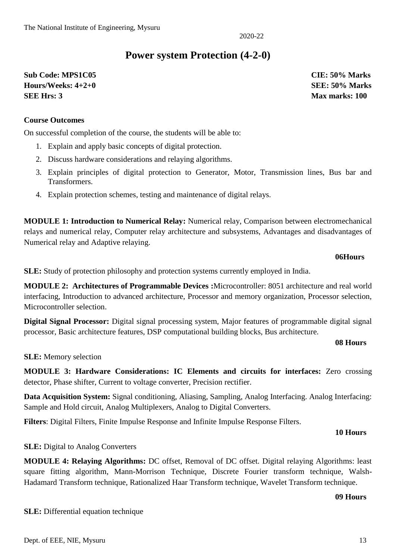### **Power system Protection (4-2-0)**

**Sub Code: MPS1C05 CIE: 50% Marks Hours/Weeks: 4+2+0 SEE: 50% Marks SEE Hrs: 3 Max marks: 100** 

#### **Course Outcomes**

On successful completion of the course, the students will be able to:

- 1. Explain and apply basic concepts of digital protection.
- 2. Discuss hardware considerations and relaying algorithms.
- 3. Explain principles of digital protection to Generator, Motor, Transmission lines, Bus bar and Transformers.
- 4. Explain protection schemes, testing and maintenance of digital relays.

**MODULE 1: Introduction to Numerical Relay:** Numerical relay, Comparison between electromechanical relays and numerical relay, Computer relay architecture and subsystems, Advantages and disadvantages of Numerical relay and Adaptive relaying.

#### **06Hours**

**SLE:** Study of protection philosophy and protection systems currently employed in India.

**MODULE 2: Architectures of Programmable Devices :**Microcontroller: 8051 architecture and real world interfacing, Introduction to advanced architecture, Processor and memory organization, Processor selection, Microcontroller selection.

**Digital Signal Processor:** Digital signal processing system, Major features of programmable digital signal processor, Basic architecture features, DSP computational building blocks, Bus architecture.

#### **08 Hours**

#### **SLE:** Memory selection

**MODULE 3: Hardware Considerations: IC Elements and circuits for interfaces:** Zero crossing detector, Phase shifter, Current to voltage converter, Precision rectifier.

**Data Acquisition System:** Signal conditioning, Aliasing, Sampling, Analog Interfacing. Analog Interfacing: Sample and Hold circuit, Analog Multiplexers, Analog to Digital Converters.

**Filters**: Digital Filters, Finite Impulse Response and Infinite Impulse Response Filters.

#### **10 Hours**

#### **SLE:** Digital to Analog Converters

**SLE:** Differential equation technique

**MODULE 4: Relaying Algorithms:** DC offset, Removal of DC offset. Digital relaying Algorithms: least square fitting algorithm, Mann-Morrison Technique, Discrete Fourier transform technique, Walsh-Hadamard Transform technique, Rationalized Haar Transform technique, Wavelet Transform technique.

#### **09 Hours**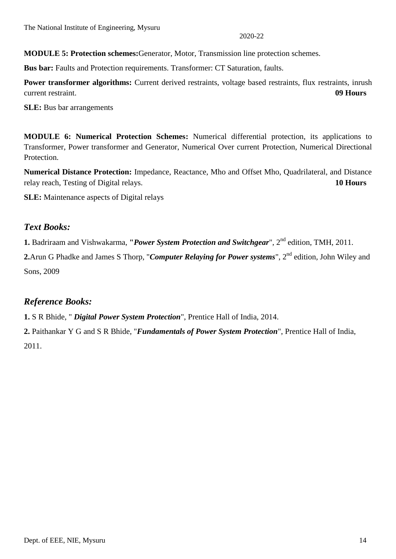**MODULE 5: Protection schemes:**Generator, Motor, Transmission line protection schemes.

**Bus bar:** Faults and Protection requirements. Transformer: CT Saturation, faults.

**Power transformer algorithms:** Current derived restraints, voltage based restraints, flux restraints, inrush current restraint. **09 Hours**

**SLE:** Bus bar arrangements

**MODULE 6: Numerical Protection Schemes:** Numerical differential protection, its applications to Transformer, Power transformer and Generator, Numerical Over current Protection, Numerical Directional Protection.

**Numerical Distance Protection:** Impedance, Reactance, Mho and Offset Mho, Quadrilateral, and Distance relay reach, Testing of Digital relays. **10 Hours**

**SLE:** Maintenance aspects of Digital relays

#### *Text Books:*

**1.** Badriraam and Vishwakarma, **"***Power System Protection and Switchgear*", 2nd edition, TMH, 2011.

2.Arun G Phadke and James S Thorp, "*Computer Relaying for Power systems*", 2<sup>nd</sup> edition, John Wiley and Sons, 2009

#### *Reference Books:*

**1.** S R Bhide, " *Digital Power System Protection*", Prentice Hall of India, 2014.

**2.** Paithankar Y G and S R Bhide, "*Fundamentals of Power System Protection*", Prentice Hall of India, 2011.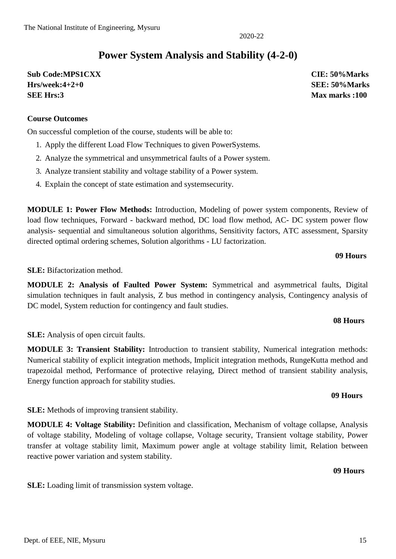### **Power System Analysis and Stability (4-2-0)**

**Sub Code:MPS1CXX CIE: 50%Marks Hrs/week:4+2+0 SEE: 50%Marks SEE Hrs:3 Max marks :100**

#### **Course Outcomes**

On successful completion of the course, students will be able to:

- 1. Apply the different Load Flow Techniques to given PowerSystems.
- 2. Analyze the symmetrical and unsymmetrical faults of a Power system.
- 3. Analyze transient stability and voltage stability of a Power system.
- 4. Explain the concept of state estimation and systemsecurity.

**MODULE 1: Power Flow Methods:** Introduction, Modeling of power system components, Review of load flow techniques, Forward - backward method, DC load flow method, AC- DC system power flow analysis- sequential and simultaneous solution algorithms, Sensitivity factors, ATC assessment, Sparsity directed optimal ordering schemes, Solution algorithms - LU factorization.

#### **09 Hours**

**SLE:** Bifactorization method.

**MODULE 2: Analysis of Faulted Power System:** Symmetrical and asymmetrical faults, Digital simulation techniques in fault analysis, Z bus method in contingency analysis, Contingency analysis of DC model, System reduction for contingency and fault studies.

#### **08 Hours**

**SLE:** Analysis of open circuit faults.

**MODULE 3: Transient Stability:** Introduction to transient stability, Numerical integration methods: Numerical stability of explicit integration methods, Implicit integration methods, RungeKutta method and trapezoidal method, Performance of protective relaying, Direct method of transient stability analysis, Energy function approach for stability studies.

**SLE:** Methods of improving transient stability.

**MODULE 4: Voltage Stability:** Definition and classification, Mechanism of voltage collapse, Analysis of voltage stability, Modeling of voltage collapse, Voltage security, Transient voltage stability, Power transfer at voltage stability limit, Maximum power angle at voltage stability limit, Relation between reactive power variation and system stability.

**SLE:** Loading limit of transmission system voltage.

#### **09 Hours**

#### **09 Hours**

#### 2020-22

## Dept. of EEE, NIE, Mysuru 15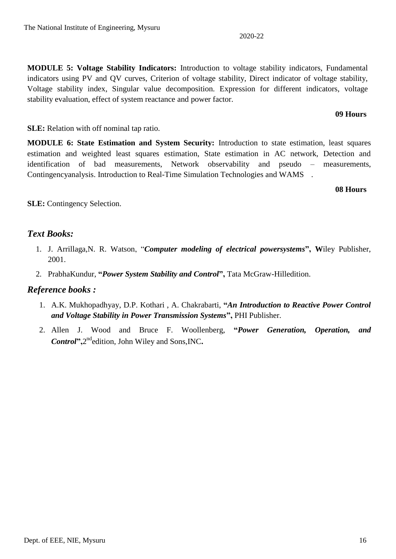**MODULE 5: Voltage Stability Indicators:** Introduction to voltage stability indicators, Fundamental indicators using PV and QV curves, Criterion of voltage stability, Direct indicator of voltage stability, Voltage stability index, Singular value decomposition. Expression for different indicators, voltage stability evaluation, effect of system reactance and power factor.

#### **SLE:** Relation with off nominal tap ratio.

**MODULE 6: State Estimation and System Security:** Introduction to state estimation, least squares estimation and weighted least squares estimation, State estimation in AC network, Detection and identification of bad measurements, Network observability and pseudo – measurements, Contingencyanalysis. Introduction to Real-Time Simulation Technologies and WAMS .

#### **08 Hours**

**SLE:** Contingency Selection.

### *Text Books:*

- 1. J. Arrillaga,N. R. Watson, "*Computer modeling of electrical powersystems***", W**iley Publisher, 2001.
- 2. PrabhaKundur, **"***Power System Stability and Control***",** Tata McGraw-Hilledition.

### *Reference books :*

- 1. A.K. Mukhopadhyay, D.P. Kothari , A. Chakrabarti, **"***An Introduction to Reactive Power Control and Voltage Stability in Power Transmission Systems***",** PHI Publisher.
- 2. Allen J. Wood and Bruce F. Woollenberg, **"***Power Generation, Operation, and*  Control",2<sup>nd</sup>edition, John Wiley and Sons, INC.

#### **09 Hours**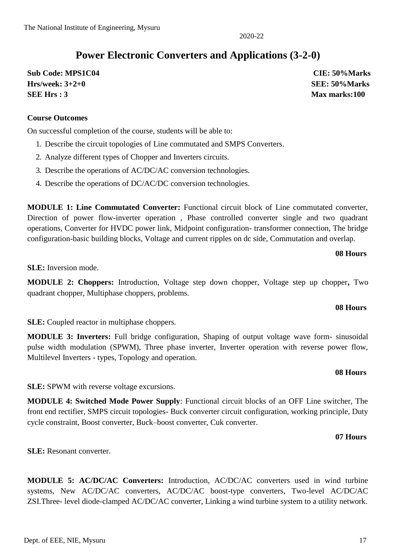### **Power Electronic Converters and Applications (3-2-0)**

**Sub Code: MPS1C04 CIE: 50%Marks Hrs/week: 3+2+0 SEE: 50%Marks SEE Hrs : 3** Max marks:100

#### **Course Outcomes**

On successful completion of the course, students will be able to:

- 1. Describe the circuit topologies of Line commutated and SMPS Converters.
- 2. Analyze different types of Chopper and Inverters circuits.
- 3. Describe the operations of AC/DC/AC conversion technologies.
- 4. Describe the operations of DC/AC/DC conversion technologies.

**MODULE 1: Line Commutated Converter:** Functional circuit block of Line commutated converter, Direction of power flow-inverter operation , Phase controlled converter single and two quadrant operations, Converter for HVDC power link, Midpoint configuration- transformer connection, The bridge configuration-basic building blocks, Voltage and current ripples on dc side, Commutation and overlap.

#### **08 Hours**

**SLE:** Inversion mode.

**MODULE 2: Choppers:** Introduction, Voltage step down chopper, Voltage step up chopper**,** Two quadrant chopper, Multiphase choppers, problems.

#### **08 Hours**

**08 Hours**

**SLE:** Coupled reactor in multiphase choppers.

**MODULE 3: Inverters:** Full bridge configuration, Shaping of output voltage wave form- sinusoidal pulse width modulation (SPWM), Three phase inverter, Inverter operation with reverse power flow, Multilevel Inverters - types, Topology and operation.

**SLE:** SPWM with reverse voltage excursions.

**MODULE 4: Switched Mode Power Supply**: Functional circuit blocks of an OFF Line switcher, The front end rectifier, SMPS circuit topologies- Buck converter circuit configuration, working principle, Duty cycle constraint, Boost converter, Buck–boost converter, Cuk converter.

#### **07 Hours**

**SLE:** Resonant converter.

**MODULE 5: AC/DC/AC Converters:** Introduction, AC/DC/AC converters used in wind turbine systems, New AC/DC/AC converters, AC/DC/AC boost-type converters, Two-level AC/DC/AC ZSI.Three- level diode-clamped AC/DC/AC converter, Linking a wind turbine system to a utility network.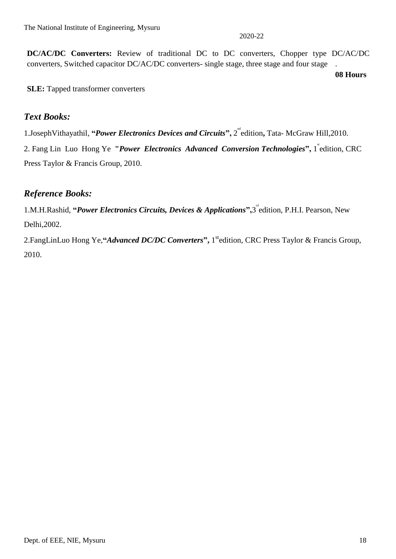**DC/AC/DC Converters:** Review of traditional DC to DC converters, Chopper type DC/AC/DC converters, Switched capacitor DC/AC/DC converters- single stage, three stage and four stage .

**08 Hours**

**SLE:** Tapped transformer converters

#### *Text Books:*

1.JosephVithayathil, "*Power Electronics Devices and Circuits*", 2<sup><sup>nd</sup> edition, Tata- McGraw Hill, 2010.</sup>

2. Fang Lin Luo Hong Ye "*Power Electronics Advanced Conversion Technologies*", 1 edition, CRC Press Taylor & Francis Group, 2010.

### *Reference Books:*

1.M.H.Rashid, "Power Electronics Circuits, Devices & Applications",3<sup>"</sup>edition, P.H.I. Pearson, New Delhi,2002.

2.FangLinLuo Hong Ye,**"***Advanced DC/DC Converters***",** 1 stedition, CRC Press Taylor & Francis Group, 2010.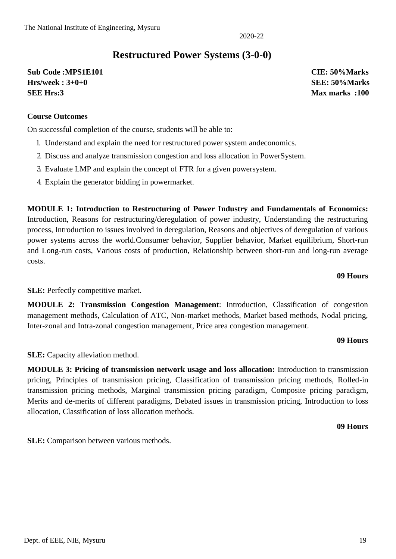### **Restructured Power Systems (3-0-0)**

**Sub Code :MPS1E101 CIE: 50%Marks Hrs/week : 3+0+0 SEE: 50%Marks SEE Hrs:3 Max marks :100**

#### **Course Outcomes**

On successful completion of the course, students will be able to:

- 1. Understand and explain the need for restructured power system andeconomics.
- 2. Discuss and analyze transmission congestion and loss allocation in PowerSystem.
- 3. Evaluate LMP and explain the concept of FTR for a given powersystem.
- 4. Explain the generator bidding in powermarket.

**MODULE 1: Introduction to Restructuring of Power Industry and Fundamentals of Economics:**  Introduction, Reasons for restructuring/deregulation of power industry, Understanding the restructuring process, Introduction to issues involved in deregulation, Reasons and objectives of deregulation of various power systems across the world.Consumer behavior, Supplier behavior, Market equilibrium, Short-run and Long-run costs, Various costs of production, Relationship between short-run and long-run average costs.

#### **09 Hours**

**SLE:** Perfectly competitive market.

**MODULE 2: Transmission Congestion Management**: Introduction, Classification of congestion management methods, Calculation of ATC, Non-market methods, Market based methods, Nodal pricing, Inter-zonal and Intra-zonal congestion management, Price area congestion management.

#### **09 Hours**

**SLE:** Capacity alleviation method.

**MODULE 3: Pricing of transmission network usage and loss allocation:** Introduction to transmission pricing, Principles of transmission pricing, Classification of transmission pricing methods, Rolled-in transmission pricing methods, Marginal transmission pricing paradigm, Composite pricing paradigm, Merits and de-merits of different paradigms, Debated issues in transmission pricing, Introduction to loss allocation, Classification of loss allocation methods.

**09 Hours**

**SLE:** Comparison between various methods.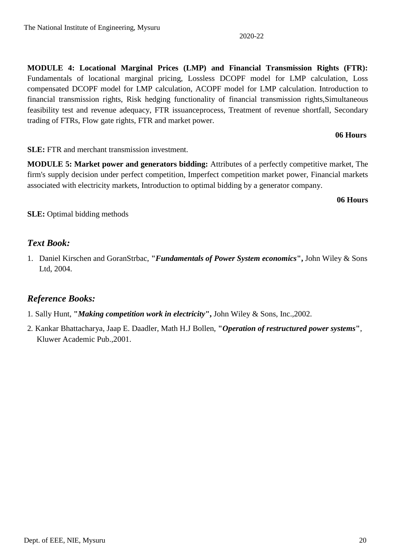**MODULE 4: Locational Marginal Prices (LMP) and Financial Transmission Rights (FTR):**  Fundamentals of locational marginal pricing, Lossless DCOPF model for LMP calculation, Loss compensated DCOPF model for LMP calculation, ACOPF model for LMP calculation. Introduction to financial transmission rights, Risk hedging functionality of financial transmission rights,Simultaneous feasibility test and revenue adequacy, FTR issuanceprocess, Treatment of revenue shortfall, Secondary trading of FTRs, Flow gate rights, FTR and market power.

#### **06 Hours**

**SLE:** FTR and merchant transmission investment.

**MODULE 5: Market power and generators bidding:** Attributes of a perfectly competitive market, The firm's supply decision under perfect competition, Imperfect competition market power, Financial markets associated with electricity markets, Introduction to optimal bidding by a generator company.

**06 Hours**

**SLE:** Optimal bidding methods

### *Text Book:*

1. Daniel Kirschen and GoranStrbac, **"***Fundamentals of Power System economics***",** John Wiley & Sons Ltd, 2004.

### *Reference Books:*

- 1. Sally Hunt, **"***Making competition work in electricity***",** John Wiley & Sons, Inc.,2002.
- 2. Kankar Bhattacharya, Jaap E. Daadler, Math H.J Bollen, **"***Operation of restructured power systems***"**, Kluwer Academic Pub.,2001.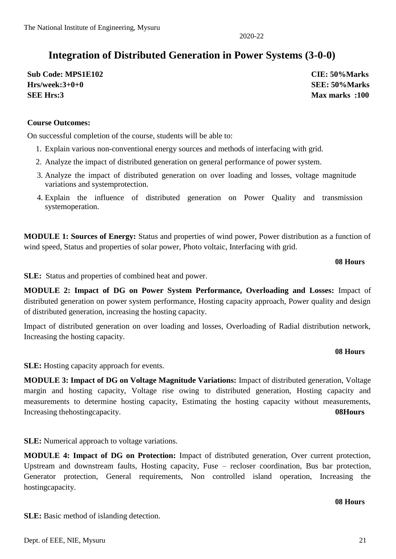### **Integration of Distributed Generation in Power Systems (3-0-0)**

**Sub Code: MPS1E102 CIE: 50%Marks Hrs/week:3+0+0 SEE: 50%Marks SEE Hrs:3 Max marks :100**

#### **Course Outcomes:**

On successful completion of the course, students will be able to:

- 1. Explain various non-conventional energy sources and methods of interfacing with grid.
- 2. Analyze the impact of distributed generation on general performance of power system.
- 3. Analyze the impact of distributed generation on over loading and losses, voltage magnitude variations and systemprotection.
- 4. Explain the influence of distributed generation on Power Quality and transmission systemoperation.

**MODULE 1: Sources of Energy:** Status and properties of wind power, Power distribution as a function of wind speed, Status and properties of solar power, Photo voltaic, Interfacing with grid.

#### **08 Hours**

**SLE:** Status and properties of combined heat and power.

**MODULE 2: Impact of DG on Power System Performance, Overloading and Losses:** Impact of distributed generation on power system performance, Hosting capacity approach, Power quality and design of distributed generation, increasing the hosting capacity.

Impact of distributed generation on over loading and losses, Overloading of Radial distribution network, Increasing the hosting capacity.

#### **08 Hours**

**SLE:** Hosting capacity approach for events.

**MODULE 3: Impact of DG on Voltage Magnitude Variations:** Impact of distributed generation, Voltage margin and hosting capacity, Voltage rise owing to distributed generation, Hosting capacity and measurements to determine hosting capacity, Estimating the hosting capacity without measurements, Increasing thehostingcapacity. **08Hours**

**SLE:** Numerical approach to voltage variations.

**SLE:** Basic method of islanding detection.

**MODULE 4: Impact of DG on Protection:** Impact of distributed generation, Over current protection, Upstream and downstream faults, Hosting capacity, Fuse – recloser coordination, Bus bar protection, Generator protection, General requirements, Non controlled island operation, Increasing the hostingcapacity.

#### **08 Hours**

2020-22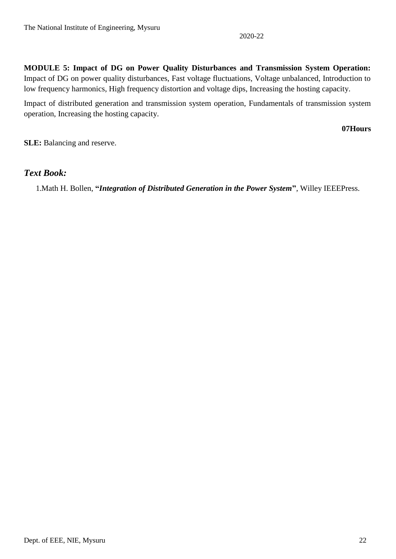**MODULE 5: Impact of DG on Power Quality Disturbances and Transmission System Operation:**  Impact of DG on power quality disturbances, Fast voltage fluctuations, Voltage unbalanced, Introduction to low frequency harmonics, High frequency distortion and voltage dips, Increasing the hosting capacity.

Impact of distributed generation and transmission system operation, Fundamentals of transmission system operation, Increasing the hosting capacity.

**07Hours**

**SLE:** Balancing and reserve.

#### *Text Book:*

1.Math H. Bollen, **"***Integration of Distributed Generation in the Power System***"**, Willey IEEEPress.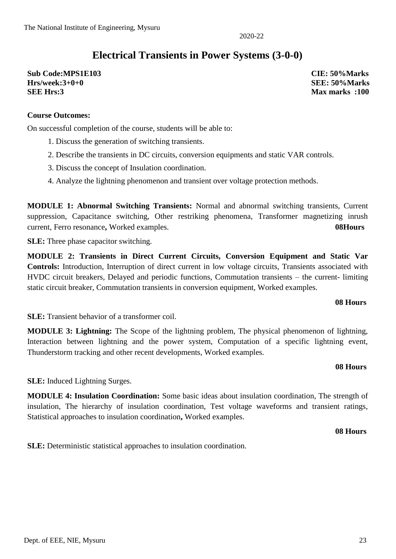### **Electrical Transients in Power Systems (3-0-0)**

**Sub Code:MPS1E103 CIE: 50%Marks Hrs/week:3+0+0 SEE: 50%Marks SEE Hrs:3 Max marks :100**

#### **Course Outcomes:**

On successful completion of the course, students will be able to:

- 1. Discuss the generation of switching transients.
- 2. Describe the transients in DC circuits, conversion equipments and static VAR controls.
- 3. Discuss the concept of Insulation coordination.
- 4. Analyze the lightning phenomenon and transient over voltage protection methods.

**MODULE 1: Abnormal Switching Transients:** Normal and abnormal switching transients, Current suppression, Capacitance switching, Other restriking phenomena, Transformer magnetizing inrush current, Ferro resonance**,** Worked examples. **08Hours**

**SLE:** Three phase capacitor switching.

**MODULE 2: Transients in Direct Current Circuits, Conversion Equipment and Static Var Controls:** Introduction, Interruption of direct current in low voltage circuits, Transients associated with HVDC circuit breakers, Delayed and periodic functions, Commutation transients – the current- limiting static circuit breaker, Commutation transients in conversion equipment, Worked examples.

#### **08 Hours**

**SLE:** Transient behavior of a transformer coil.

**MODULE 3: Lightning:** The Scope of the lightning problem, The physical phenomenon of lightning, Interaction between lightning and the power system, Computation of a specific lightning event, Thunderstorm tracking and other recent developments, Worked examples.

#### **08 Hours**

**SLE:** Induced Lightning Surges.

**MODULE 4: Insulation Coordination:** Some basic ideas about insulation coordination, The strength of insulation, The hierarchy of insulation coordination, Test voltage waveforms and transient ratings, Statistical approaches to insulation coordination**,** Worked examples.

**08 Hours**

**SLE:** Deterministic statistical approaches to insulation coordination.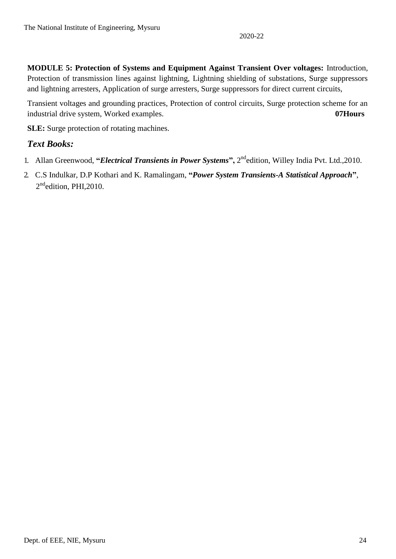**MODULE 5: Protection of Systems and Equipment Against Transient Over voltages:** Introduction, Protection of transmission lines against lightning, Lightning shielding of substations, Surge suppressors and lightning arresters, Application of surge arresters, Surge suppressors for direct current circuits,

Transient voltages and grounding practices, Protection of control circuits, Surge protection scheme for an industrial drive system, Worked examples. **07Hours**

**SLE:** Surge protection of rotating machines.

#### *Text Books:*

- 1. Allan Greenwood, "*Electrical Transients in Power Systems*", 2<sup>nd</sup>edition, Willey India Pvt. Ltd.,2010.
- 2. C.S Indulkar, D.P Kothari and K. Ramalingam, **"***Power System Transients-A Statistical Approach***"**, 2<sup>nd</sup>edition, PHI,2010.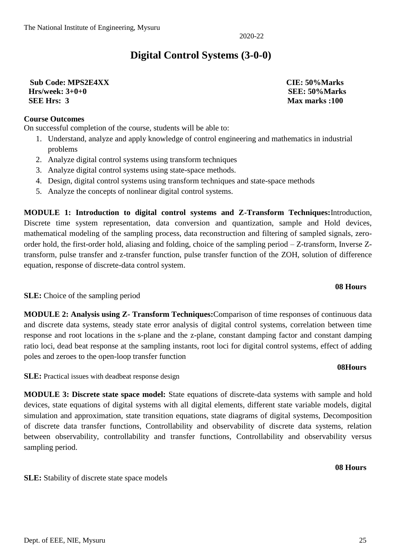### **Digital Control Systems (3-0-0)**

#### **Sub Code: MPS2E4XX CIE: 50%Marks Hrs/week: 3+0+0 SEE: 50%Marks SEE Hrs: 3** Max marks :100

#### **Course Outcomes**

On successful completion of the course, students will be able to:

- 1. Understand, analyze and apply knowledge of control engineering and mathematics in industrial problems
- 2. Analyze digital control systems using transform techniques
- 3. Analyze digital control systems using state-space methods.
- 4. Design, digital control systems using transform techniques and state-space methods
- 5. Analyze the concepts of nonlinear digital control systems.

**MODULE 1: Introduction to digital control systems and Z-Transform Techniques:**Introduction, Discrete time system representation, data conversion and quantization, sample and Hold devices, mathematical modeling of the sampling process, data reconstruction and filtering of sampled signals, zeroorder hold, the first-order hold, aliasing and folding, choice of the sampling period – Z-transform, Inverse Ztransform, pulse transfer and z-transfer function, pulse transfer function of the ZOH, solution of difference equation, response of discrete-data control system.

#### **SLE:** Choice of the sampling period

**MODULE 2: Analysis using Z- Transform Techniques:**Comparison of time responses of continuous data and discrete data systems, steady state error analysis of digital control systems, correlation between time response and root locations in the s-plane and the z-plane, constant damping factor and constant damping ratio loci, dead beat response at the sampling instants, root loci for digital control systems, effect of adding poles and zeroes to the open-loop transfer function

**SLE:** Practical issues with deadbeat response design

**SLE:** Stability of discrete state space models

**MODULE 3: Discrete state space model:** State equations of discrete-data systems with sample and hold devices, state equations of digital systems with all digital elements, different state variable models, digital simulation and approximation, state transition equations, state diagrams of digital systems, Decomposition of discrete data transfer functions, Controllability and observability of discrete data systems, relation between observability, controllability and transfer functions, Controllability and observability versus sampling period.

**08 Hours**

**08 Hours**

**08Hours**

#### 2020-22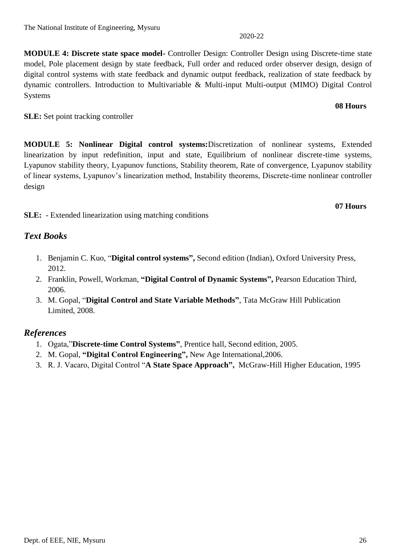**MODULE 4: Discrete state space model-** Controller Design: Controller Design using Discrete-time state model, Pole placement design by state feedback, Full order and reduced order observer design, design of digital control systems with state feedback and dynamic output feedback, realization of state feedback by dynamic controllers. Introduction to Multivariable & Multi-input Multi-output (MIMO) Digital Control Systems

**SLE:** Set point tracking controller

**MODULE 5: Nonlinear Digital control systems:**Discretization of nonlinear systems, Extended linearization by input redefinition, input and state, Equilibrium of nonlinear discrete-time systems, Lyapunov stability theory, Lyapunov functions, Stability theorem, Rate of convergence, Lyapunov stability of linear systems, Lyapunov's linearization method, Instability theorems, Discrete-time nonlinear controller design

**SLE:** - Extended linearization using matching conditions

#### *Text Books*

- 1. Benjamin C. Kuo, "**Digital control systems",** Second edition (Indian), Oxford University Press, 2012.
- 2. Franklin, Powell, Workman, **"Digital Control of Dynamic Systems",** Pearson Education Third, 2006.
- 3. M. Gopal, "**Digital Control and State Variable Methods"**, Tata McGraw Hill Publication Limited, 2008.

#### *References*

- 1. Ogata,"**Discrete-time Control Systems"**, Prentice hall, Second edition, 2005.
- 2. M. Gopal, **"Digital Control Engineering",** New Age International,2006.
- 3. R. J. Vacaro, Digital Control "**A State Space Approach",** McGraw-Hill Higher Education, 1995

#### 2020-22

#### **08 Hours**

**07 Hours**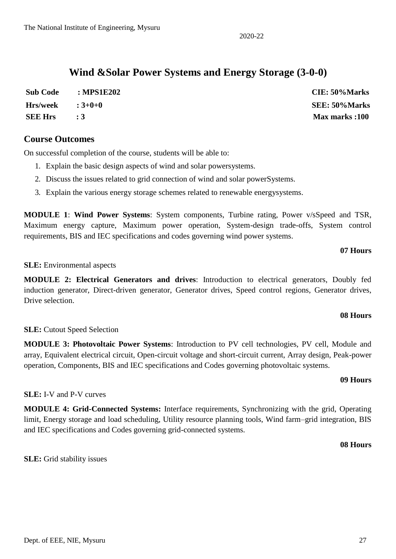The National Institute of Engineering, Mysuru

## **Wind &Solar Power Systems and Energy Storage (3-0-0)**

| <b>Sub Code</b>             | : MPS1E202 | CIE: 50%Marks  |
|-----------------------------|------------|----------------|
| $Hrs/week$ : $3+0+0$        |            | SEE: 50%Marks  |
| <b>SEE Hrs</b><br>$\cdot$ 3 |            | Max marks :100 |

#### **Course Outcomes**

On successful completion of the course, students will be able to:

- 1. Explain the basic design aspects of wind and solar powersystems.
- 2. Discuss the issues related to grid connection of wind and solar powerSystems.
- 3. Explain the various energy storage schemes related to renewable energysystems.

**MODULE 1**: **Wind Power Systems**: System components, Turbine rating, Power v/sSpeed and TSR, Maximum energy capture, Maximum power operation, System-design trade-offs, System control requirements, BIS and IEC specifications and codes governing wind power systems.

#### **07 Hours**

#### **SLE:** Environmental aspects

**MODULE 2: Electrical Generators and drives**: Introduction to electrical generators, Doubly fed induction generator, Direct-driven generator, Generator drives, Speed control regions, Generator drives, Drive selection.

#### **08 Hours**

#### **SLE:** Cutout Speed Selection

**MODULE 3: Photovoltaic Power Systems**: Introduction to PV cell technologies, PV cell, Module and array, Equivalent electrical circuit, Open-circuit voltage and short-circuit current, Array design, Peak-power operation, Components, BIS and IEC specifications and Codes governing photovoltaic systems.

#### **09 Hours**

#### **SLE:** I-V and P-V curves

**MODULE 4: Grid-Connected Systems:** Interface requirements, Synchronizing with the grid, Operating limit, Energy storage and load scheduling, Utility resource planning tools, Wind farm–grid integration, BIS and IEC specifications and Codes governing grid-connected systems.

**08 Hours**

**SLE:** Grid stability issues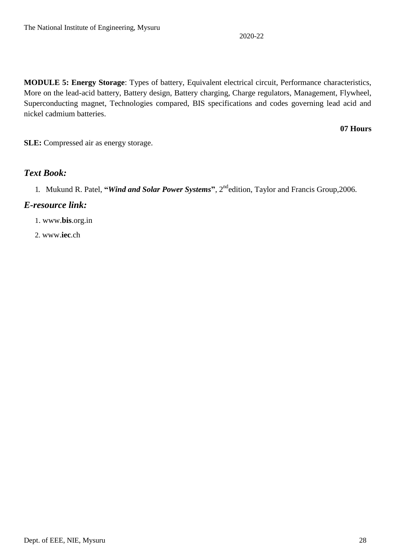**MODULE 5: Energy Storage**: Types of battery, Equivalent electrical circuit, Performance characteristics, More on the lead-acid battery, Battery design, Battery charging, Charge regulators, Management, Flywheel, Superconducting magnet, Technologies compared, BIS specifications and codes governing lead acid and nickel cadmium batteries.

#### **07 Hours**

**SLE:** Compressed air as energy storage.

#### *Text Book:*

#### *E-resource link:*

1. www.**bis**.org.in

2. www.**iec**.ch

<sup>1.</sup> Mukund R. Patel, **"***Wind and Solar Power Systems***"**, 2ndedition, Taylor and Francis Group,2006.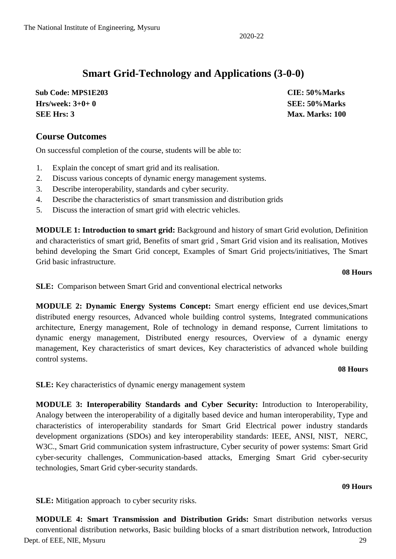### **Smart Grid-Technology and Applications (3-0-0)**

 **Sub Code: MPS1E203 CIE: 50%Marks Hrs/week: 3+0+ 0 SEE: 50%Marks SEE Hrs: 3 Max. Marks: 100**

#### **Course Outcomes**

On successful completion of the course, students will be able to:

- 1. Explain the concept of smart grid and its realisation.
- 2. Discuss various concepts of dynamic energy management systems.
- 3. Describe interoperability, standards and cyber security.
- 4. Describe the characteristics of smart transmission and distribution grids
- 5. Discuss the interaction of smart grid with electric vehicles.

**MODULE 1: Introduction to smart grid:** Background and history of smart Grid evolution, Definition and characteristics of smart grid, Benefits of smart grid , Smart Grid vision and its realisation, Motives behind developing the Smart Grid concept, Examples of Smart Grid projects/initiatives, The Smart Grid basic infrastructure.

**08 Hours**

**SLE:** Comparison between Smart Grid and conventional electrical networks

**MODULE 2: Dynamic Energy Systems Concept:** Smart energy efficient end use devices,Smart distributed energy resources, Advanced whole building control systems, Integrated communications architecture, Energy management, Role of technology in demand response, Current limitations to dynamic energy management, Distributed energy resources, Overview of a dynamic energy management, Key characteristics of smart devices, Key characteristics of advanced whole building control systems.

#### **08 Hours**

**SLE:** Key characteristics of dynamic energy management system

**MODULE 3: Interoperability Standards and Cyber Security:** Introduction to Interoperability, Analogy between the interoperability of a digitally based device and human interoperability, Type and characteristics of interoperability standards for Smart Grid Electrical power industry standards development organizations (SDOs) and key interoperability standards: IEEE, ANSI, NIST, NERC, W3C., Smart Grid communication system infrastructure, Cyber security of power systems: Smart Grid cyber-security challenges, Communication-based attacks, Emerging Smart Grid cyber-security technologies, Smart Grid cyber-security standards.

#### **09 Hours**

**SLE:** Mitigation approach to cyber security risks.

Dept. of EEE, NIE, Mysuru 29 **MODULE 4: Smart Transmission and Distribution Grids:** Smart distribution networks versus conventional distribution networks, Basic building blocks of a smart distribution network, Introduction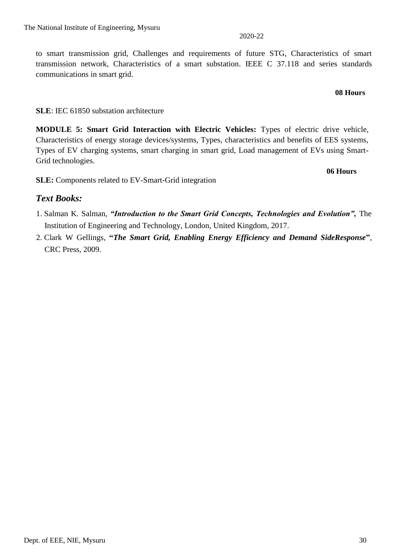to smart transmission grid, Challenges and requirements of future STG, Characteristics of smart transmission network, Characteristics of a smart substation. IEEE C 37.118 and series standards communications in smart grid.

#### **08 Hours**

#### **SLE**: IEC 61850 substation architecture

**MODULE 5: Smart Grid Interaction with Electric Vehicles:** Types of electric drive vehicle, Characteristics of energy storage devices/systems, Types, characteristics and benefits of EES systems, Types of EV charging systems, smart charging in smart grid, Load management of EVs using Smart-Grid technologies.

**06 Hours**

**SLE:** Components related to EV-Smart-Grid integration

#### *Text Books:*

- 1. Salman K. Salman, *"Introduction to the Smart Grid Concepts, Technologies and Evolution",* The Institution of Engineering and Technology, London, United Kingdom, 2017.
- 2. Clark W Gellings, **"***The Smart Grid, Enabling Energy Efficiency and Demand SideResponse***"**, CRC Press, 2009.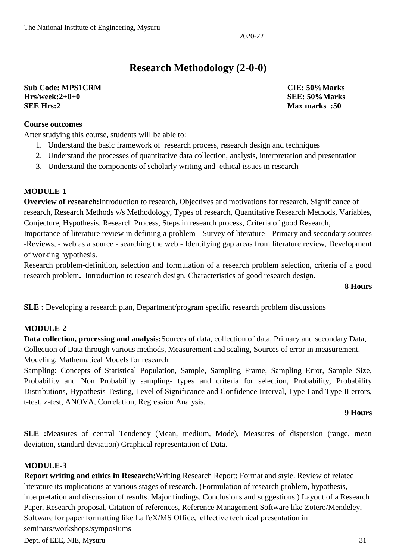### **Research Methodology (2-0-0)**

**Sub Code: MPS1CRM CIE: 50%Marks Hrs/week:2+0+0 SEE: 50%Marks SEE Hrs:2 Max marks :50**

**Course outcomes**

After studying this course, students will be able to:

- 1. Understand the basic framework of research process, research design and techniques
- 2. Understand the processes of quantitative data collection, analysis, interpretation and presentation
- 3. Understand the components of scholarly writing and ethical issues in research

#### **MODULE-1**

**Overview of research:**Introduction to research, Objectives and motivations for research, Significance of research, Research Methods v/s Methodology, Types of research, Quantitative Research Methods, Variables, Conjecture, Hypothesis. Research Process, Steps in research process, Criteria of good Research,

Importance of literature review in defining a problem - Survey of literature - Primary and secondary sources -Reviews, - web as a source - searching the web - Identifying gap areas from literature review, Development of working hypothesis.

Research problem-definition, selection and formulation of a research problem selection, criteria of a good research problem**.** Introduction to research design, Characteristics of good research design.

#### **8 Hours**

**SLE :** Developing a research plan, Department/program specific research problem discussions

#### **MODULE-2**

**Data collection, processing and analysis:**Sources of data, collection of data, Primary and secondary Data, Collection of Data through various methods, Measurement and scaling, Sources of error in measurement. Modeling, Mathematical Models for research

Sampling: Concepts of Statistical Population, Sample, Sampling Frame, Sampling Error, Sample Size, Probability and Non Probability sampling- types and criteria for selection, Probability, Probability Distributions, Hypothesis Testing, Level of Significance and Confidence Interval, Type I and Type II errors, t-test, z-test, ANOVA, Correlation, Regression Analysis.

#### **9 Hours**

**SLE :**Measures of central Tendency (Mean, medium, Mode), Measures of dispersion (range, mean deviation, standard deviation) Graphical representation of Data.

#### **MODULE-3**

**Report writing and ethics in Research:**Writing Research Report: Format and style. Review of related literature its implications at various stages of research. (Formulation of research problem, hypothesis, interpretation and discussion of results. Major findings, Conclusions and suggestions.) Layout of a Research Paper, Research proposal, Citation of references, Reference Management Software like Zotero/Mendeley, Software for paper formatting like LaTeX/MS Office, effective technical presentation in seminars/workshops/symposiums

Dept. of EEE, NIE, Mysuru 31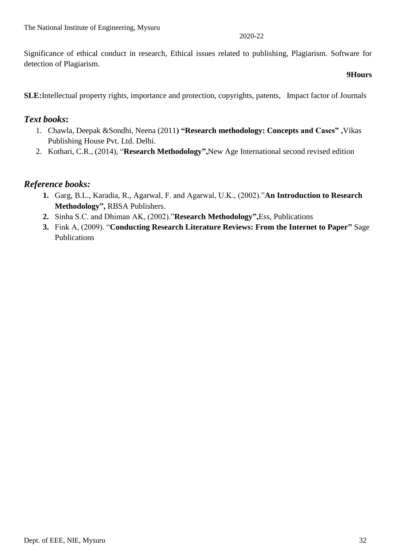Significance of ethical conduct in research, Ethical issues related to publishing, Plagiarism. Software for detection of Plagiarism.

#### **9Hours**

**SLE:**Intellectual property rights, importance and protection, copyrights, patents, Impact factor of Journals

#### *Text books***:**

- 1. Chawla, Deepak &Sondhi, Neena (2011**) "Research methodology: Concepts and Cases" ,**Vikas Publishing House Pvt. Ltd. Delhi.
- 2. Kothari, C.R., (2014), "**Research Methodology",**New Age International second revised edition

#### *Reference books:*

- **1.** Garg, B.L., Karadia, R., Agarwal, F. and Agarwal, U.K., (2002)."**An Introduction to Research Methodology",** RBSA Publishers.
- **2.** Sinha S.C. and Dhiman AK, (2002)."**Research Methodology",**Ess, Publications
- **3.** Fink A, (2009). "**Conducting Research Literature Reviews: From the Internet to Paper"** Sage Publications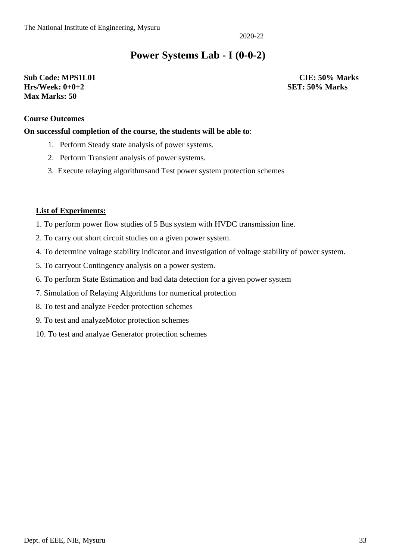### **Power Systems Lab - I (0-0-2)**

#### **Sub Code: MPS1L01 CIE: 50% Marks Hrs/Week: 0+0+2 SET: 50% Marks Max Marks: 50**

#### **Course Outcomes**

#### **On successful completion of the course, the students will be able to**:

- 1. Perform Steady state analysis of power systems.
- 2. Perform Transient analysis of power systems.
- 3. Execute relaying algorithmsand Test power system protection schemes

#### **List of Experiments:**

- 1. To perform power flow studies of 5 Bus system with HVDC transmission line.
- 2. To carry out short circuit studies on a given power system.
- 4. To determine voltage stability indicator and investigation of voltage stability of power system.
- 5. To carryout Contingency analysis on a power system.
- 6. To perform State Estimation and bad data detection for a given power system
- 7. Simulation of Relaying Algorithms for numerical protection
- 8. To test and analyze Feeder protection schemes
- 9. To test and analyzeMotor protection schemes
- 10. To test and analyze Generator protection schemes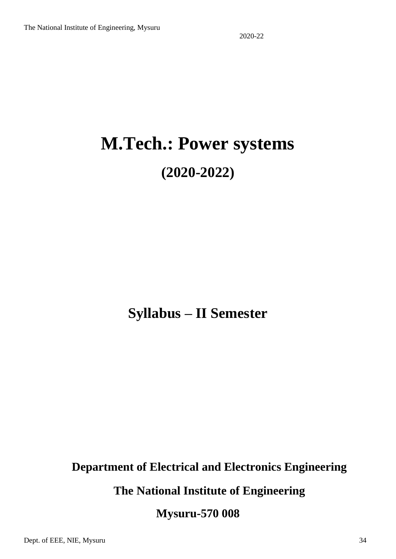# **M.Tech.: Power systems (2020-2022)**

## **Syllabus – II Semester**

# **Department of Electrical and Electronics Engineering The National Institute of Engineering Mysuru-570 008**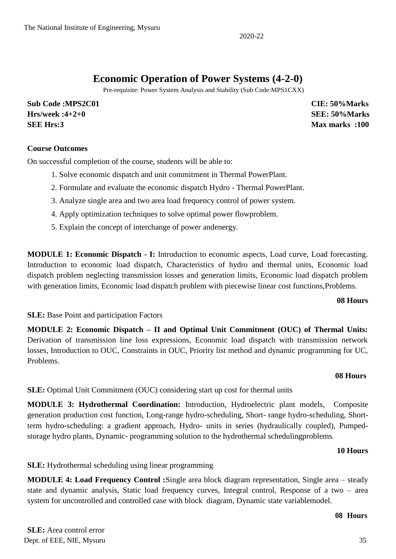### **Economic Operation of Power Systems (4-2-0)**

Pre-requisite: Power System Analysis and Stability (Sub Code:MPS1CXX)

**Sub Code :MPS2C01 CIE: 50%Marks Hrs/week :4+2+0 SEE: 50%Marks SEE Hrs:3 Max marks :100**

#### **Course Outcomes**

On successful completion of the course, students will be able to:

- 1. Solve economic dispatch and unit commitment in Thermal PowerPlant.
- 2. Formulate and evaluate the economic dispatch Hydro Thermal PowerPlant.
- 3. Analyze single area and two area load frequency control of power system.
- 4. Apply optimization techniques to solve optimal power flowproblem.
- 5. Explain the concept of interchange of power andenergy.

**MODULE 1: Economic Dispatch - I:** Introduction to economic aspects, Load curve, Load forecasting. Introduction to economic load dispatch, Characteristics of hydro and thermal units, Economic load dispatch problem neglecting transmission losses and generation limits, Economic load dispatch problem with generation limits, Economic load dispatch problem with piecewise linear cost functions, Problems.

#### **08 Hours**

**SLE:** Base Point and participation Factors

**MODULE 2: Economic Dispatch – II and Optimal Unit Commitment (OUC) of Thermal Units:**  Derivation of transmission line loss expressions, Economic load dispatch with transmission network losses, Introduction to OUC, Constraints in OUC, Priority list method and dynamic programming for UC, Problems.

#### **08 Hours**

**SLE:** Optimal Unit Commitment (OUC) considering start up cost for thermal units

**MODULE 3: Hydrothermal Coordination:** Introduction, Hydroelectric plant models, Composite generation production cost function, Long-range hydro-scheduling, Short- range hydro-scheduling, Shortterm hydro-scheduling: a gradient approach, Hydro- units in series (hydraulically coupled), Pumpedstorage hydro plants, Dynamic- programming solution to the hydrothermal schedulingproblems.

#### **10 Hours**

**SLE:** Hydrothermal scheduling using linear programming

**MODULE 4: Load Frequency Control :**Single area block diagram representation, Single area – steady state and dynamic analysis, Static load frequency curves, Integral control, Response of a two – area system for uncontrolled and controlled case with block diagram, Dynamic state variablemodel.

#### **08 Hours**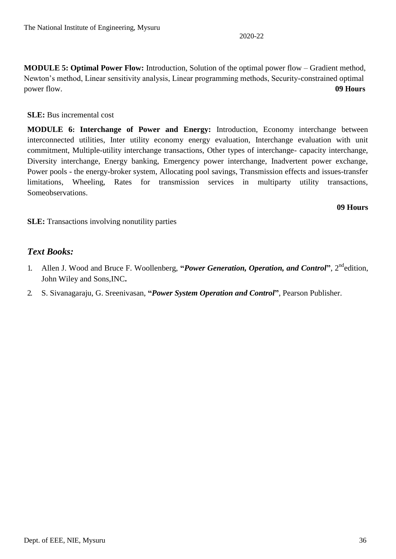**MODULE 5: Optimal Power Flow:** Introduction, Solution of the optimal power flow – Gradient method, Newton's method, Linear sensitivity analysis, Linear programming methods, Security-constrained optimal power flow. **09 Hours**

#### **SLE:** Bus incremental cost

**MODULE 6: Interchange of Power and Energy:** Introduction, Economy interchange between interconnected utilities, Inter utility economy energy evaluation, Interchange evaluation with unit commitment, Multiple-utility interchange transactions, Other types of interchange- capacity interchange, Diversity interchange, Energy banking, Emergency power interchange, Inadvertent power exchange, Power pools - the energy-broker system, Allocating pool savings, Transmission effects and issues-transfer limitations, Wheeling, Rates for transmission services in multiparty utility transactions, Someobservations.

#### **09 Hours**

**SLE:** Transactions involving nonutility parties

#### *Text Books:*

- 1. Allen J. Wood and Bruce F. Woollenberg, **"***Power Generation, Operation, and Control***"**, 2ndedition, John Wiley and Sons,INC**.**
- 2. S. Sivanagaraju, G. Sreenivasan, **"***Power System Operation and Control***"**, Pearson Publisher.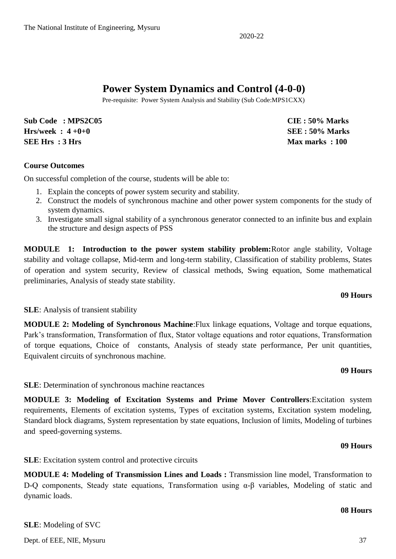### **Power System Dynamics and Control (4-0-0)**

Pre-requisite: Power System Analysis and Stability (Sub Code:MPS1CXX)

**Sub Code : MPS2C05 CIE : 50% Marks Hrs/week : 4 +0+0 SEE : 50% Marks SEE Hrs** : 3 Hrs **Max marks** : 100

#### **Course Outcomes**

On successful completion of the course, students will be able to:

- 1. Explain the concepts of power system security and stability.
- 2. Construct the models of synchronous machine and other power system components for the study of system dynamics.
- 3. Investigate small signal stability of a synchronous generator connected to an infinite bus and explain the structure and design aspects of PSS

**MODULE 1: Introduction to the power system stability problem:**Rotor angle stability, Voltage stability and voltage collapse, Mid-term and long-term stability, Classification of stability problems, States of operation and system security, Review of classical methods, Swing equation, Some mathematical preliminaries, Analysis of steady state stability.

#### **09 Hours**

#### **SLE**: Analysis of transient stability

**MODULE 2: Modeling of Synchronous Machine**:Flux linkage equations, Voltage and torque equations, Park's transformation, Transformation of flux, Stator voltage equations and rotor equations, Transformation of torque equations, Choice of constants, Analysis of steady state performance, Per unit quantities, Equivalent circuits of synchronous machine.

#### **09 Hours**

**SLE**: Determination of synchronous machine reactances

**MODULE 3: Modeling of Excitation Systems and Prime Mover Controllers**:Excitation system requirements, Elements of excitation systems, Types of excitation systems, Excitation system modeling, Standard block diagrams, System representation by state equations, Inclusion of limits, Modeling of turbines and speed-governing systems.

#### **09 Hours**

**SLE**: Excitation system control and protective circuits

**MODULE 4: Modeling of Transmission Lines and Loads :** Transmission line model, Transformation to D-Q components, Steady state equations, Transformation using α-β variables, Modeling of static and dynamic loads.

#### **08 Hours**

#### **SLE**: Modeling of SVC

Dept. of EEE, NIE, Mysuru 37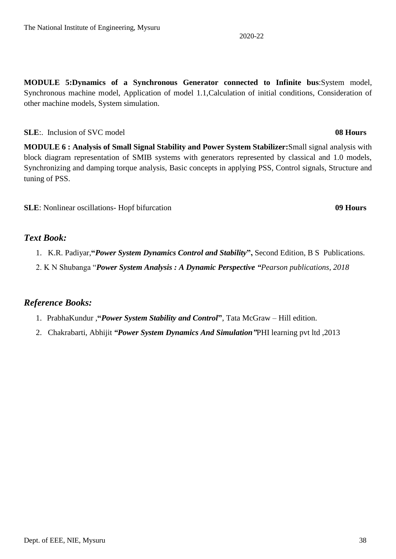**MODULE 5:Dynamics of a Synchronous Generator connected to Infinite bus**:System model, Synchronous machine model, Application of model 1.1,Calculation of initial conditions, Consideration of other machine models, System simulation.

**SLE**:. Inclusion of SVC model **08 Hours**

**MODULE 6 : Analysis of Small Signal Stability and Power System Stabilizer:**Small signal analysis with block diagram representation of SMIB systems with generators represented by classical and 1.0 models, Synchronizing and damping torque analysis, Basic concepts in applying PSS, Control signals, Structure and tuning of PSS.

**SLE**: Nonlinear oscillations- Hopf bifurcation **09 Hours** 

#### *Text Book:*

- 1. K.R. Padiyar,**"***Power System Dynamics Control and Stability***",** Second Edition, B S Publications.
- 2. K N Shubanga "*Power System Analysis : A Dynamic Perspective "Pearson publications, 2018*

#### *Reference Books:*

- 1. PrabhaKundur ,**"***Power System Stability and Control***"**, Tata McGraw Hill edition.
- 2. Chakrabarti, Abhijit *"Power System Dynamics And Simulation"*PHI learning pvt ltd ,2013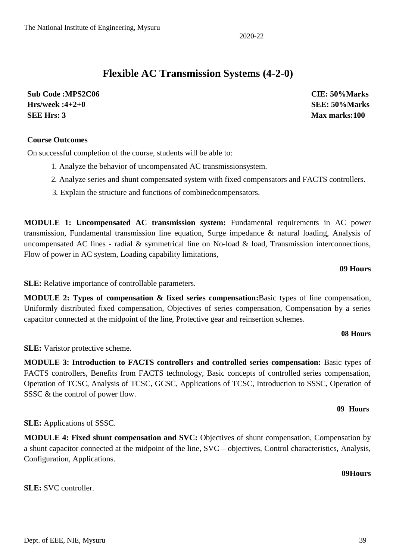### **Flexible AC Transmission Systems (4-2-0)**

**Sub Code :MPS2C06 CIE: 50%Marks Hrs/week :4+2+0 SEE: 50%Marks SEE Hrs: 3 Max marks:100**

#### **Course Outcomes**

On successful completion of the course, students will be able to:

- 1. Analyze the behavior of uncompensated AC transmissionsystem.
- 2. Analyze series and shunt compensated system with fixed compensators and FACTS controllers.
- 3. Explain the structure and functions of combinedcompensators.

**MODULE 1: Uncompensated AC transmission system:** Fundamental requirements in AC power transmission, Fundamental transmission line equation, Surge impedance & natural loading, Analysis of uncompensated AC lines - radial  $\&$  symmetrical line on No-load  $\&$  load, Transmission interconnections, Flow of power in AC system, Loading capability limitations,

**09 Hours**

**SLE:** Relative importance of controllable parameters.

**MODULE 2: Types of compensation & fixed series compensation:**Basic types of line compensation, Uniformly distributed fixed compensation, Objectives of series compensation, Compensation by a series capacitor connected at the midpoint of the line, Protective gear and reinsertion schemes.

#### **08 Hours**

**SLE:** Varistor protective scheme.

**MODULE 3: Introduction to FACTS controllers and controlled series compensation:** Basic types of FACTS controllers, Benefits from FACTS technology, Basic concepts of controlled series compensation, Operation of TCSC, Analysis of TCSC, GCSC, Applications of TCSC, Introduction to SSSC, Operation of SSSC & the control of power flow.

#### **09 Hours**

**SLE:** Applications of SSSC.

**MODULE 4: Fixed shunt compensation and SVC:** Objectives of shunt compensation, Compensation by a shunt capacitor connected at the midpoint of the line, SVC – objectives, Control characteristics, Analysis, Configuration, Applications.

#### **09Hours**

### **SLE:** SVC controller.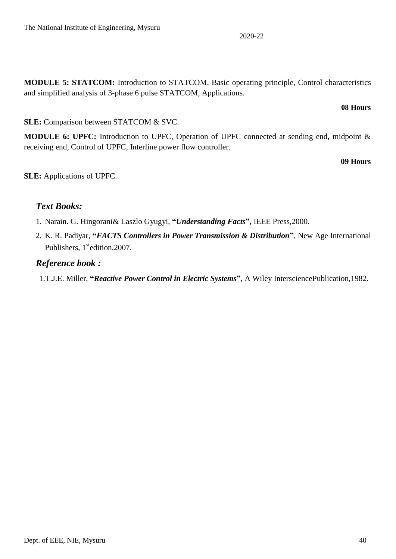**MODULE 5: STATCOM:** Introduction to STATCOM, Basic operating principle, Control characteristics and simplified analysis of 3-phase 6 pulse STATCOM, Applications.

#### **08 Hours**

#### **SLE:** Comparison between STATCOM & SVC.

**MODULE 6: UPFC:** Introduction to UPFC, Operation of UPFC connected at sending end, midpoint & receiving end, Control of UPFC, Interline power flow controller.

#### **09 Hours**

**SLE:** Applications of UPFC.

#### *Text Books:*

- 1. Narain. G. Hingorani& Laszlo Gyugyi, **"***Understanding Facts***"**, IEEE Press,2000.
- 2. K. R. Padiyar, **"***FACTS Controllers in Power Transmission & Distribution***"**, New Age International Publishers, 1<sup>st</sup>edition, 2007.

#### *Reference book :*

1.T.J.E. Miller, **"***Reactive Power Control in Electric Systems***"**, A Wiley IntersciencePublication,1982.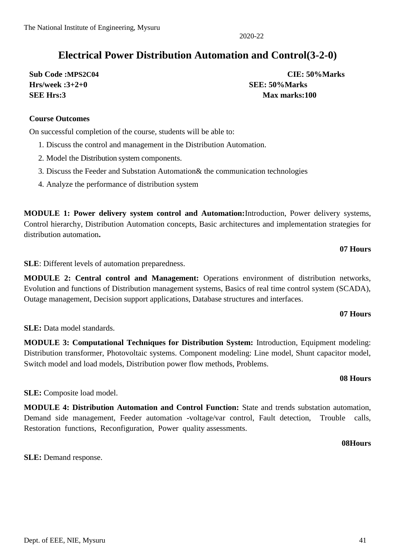### **Electrical Power Distribution Automation and Control(3-2-0)**

**Hrs/week :3+2+0 SEE: 50%Marks SEE Hrs:3 Max marks:100**

**Sub Code :MPS2C04 CIE: 50%Marks**

#### **Course Outcomes**

On successful completion of the course, students will be able to:

- 1. Discuss the control and management in the Distribution Automation.
- 2. Model the Distribution system components.
- 3. Discuss the Feeder and Substation Automation& the communication technologies
- 4. Analyze the performance of distribution system

**MODULE 1: Power delivery system control and Automation:**Introduction, Power delivery systems, Control hierarchy, Distribution Automation concepts, Basic architectures and implementation strategies for distribution automation**.**

### **07 Hours**

**SLE**: Different levels of automation preparedness.

**MODULE 2: Central control and Management:** Operations environment of distribution networks, Evolution and functions of Distribution management systems, Basics of real time control system (SCADA), Outage management, Decision support applications, Database structures and interfaces.

#### **07 Hours**

**SLE:** Data model standards.

**MODULE 3: Computational Techniques for Distribution System:** Introduction, Equipment modeling: Distribution transformer, Photovoltaic systems. Component modeling: Line model, Shunt capacitor model, Switch model and load models, Distribution power flow methods, Problems.

#### **08 Hours**

### **SLE:** Composite load model.

**MODULE 4: Distribution Automation and Control Function:** State and trends substation automation, Demand side management, Feeder automation -voltage/var control, Fault detection, Trouble calls, Restoration functions, Reconfiguration, Power quality assessments.

 **08Hours**

**SLE:** Demand response.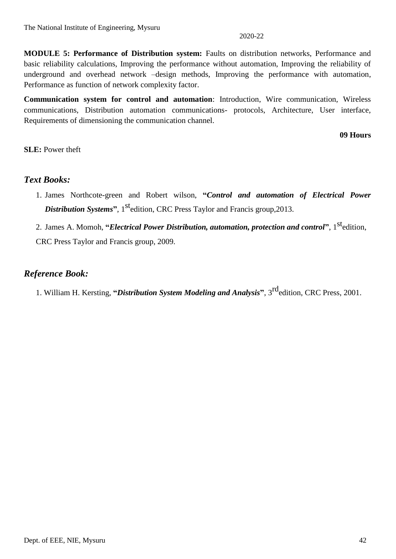**MODULE 5: Performance of Distribution system:** Faults on distribution networks, Performance and basic reliability calculations, Improving the performance without automation, Improving the reliability of underground and overhead network –design methods, Improving the performance with automation, Performance as function of network complexity factor.

**Communication system for control and automation**: Introduction, Wire communication, Wireless communications, Distribution automation communications- protocols, Architecture, User interface, Requirements of dimensioning the communication channel.

 **09 Hours**

**SLE:** Power theft

#### *Text Books:*

- 1. James Northcote-green and Robert wilson, **"***Control and automation of Electrical Power*  **Distribution Systems".** 1<sup>st</sup>edition, CRC Press Taylor and Francis group, 2013.
- 2. James A. Momoh, **"***Electrical Power Distribution, automation, protection and control***"**, 1stedition, CRC Press Taylor and Francis group, 2009.

#### *Reference Book:*

1. William H. Kersting, **"***Distribution System Modeling and Analysis***"**, 3rdedition, CRC Press, 2001.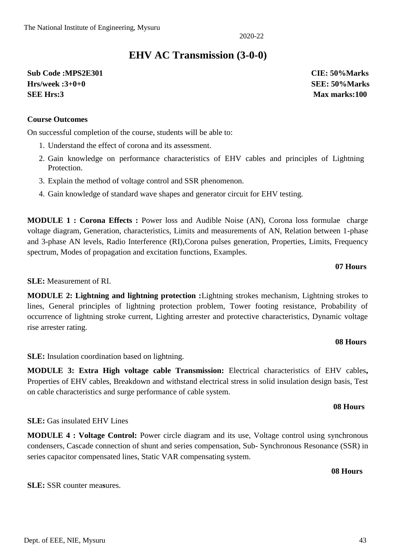### **EHV AC Transmission (3-0-0)**

**Sub Code :MPS2E301 CIE: 50%Marks Hrs/week :3+0+0 SEE: 50%Marks SEE Hrs:3 Max marks:100**

#### **Course Outcomes**

On successful completion of the course, students will be able to:

- 1. Understand the effect of corona and its assessment.
- 2. Gain knowledge on performance characteristics of EHV cables and principles of Lightning Protection.
- 3. Explain the method of voltage control and SSR phenomenon.
- 4. Gain knowledge of standard wave shapes and generator circuit for EHV testing.

**MODULE 1 : Corona Effects :** Power loss and Audible Noise (AN), Corona loss formulae charge voltage diagram, Generation, characteristics, Limits and measurements of AN, Relation between 1-phase and 3-phase AN levels, Radio Interference (RI),Corona pulses generation, Properties, Limits, Frequency spectrum, Modes of propagation and excitation functions, Examples.

#### **SLE:** Measurement of RI.

**MODULE 2: Lightning and lightning protection :**Lightning strokes mechanism, Lightning strokes to lines, General principles of lightning protection problem, Tower footing resistance, Probability of occurrence of lightning stroke current, Lighting arrester and protective characteristics, Dynamic voltage rise arrester rating.

#### **08 Hours**

**07 Hours**

**SLE:** Insulation coordination based on lightning.

series capacitor compensated lines, Static VAR compensating system.

**MODULE 3: Extra High voltage cable Transmission:** Electrical characteristics of EHV cables**,**  Properties of EHV cables, Breakdown and withstand electrical stress in solid insulation design basis, Test on cable characteristics and surge performance of cable system.

**MODULE 4 : Voltage Control:** Power circle diagram and its use, Voltage control using synchronous condensers, Cascade connection of shunt and series compensation, Sub- Synchronous Resonance (SSR) in

#### **08 Hours**

#### **08 Hours**

#### **SLE:** SSR counter mea**s**ures.

**SLE:** Gas insulated EHV Lines

2020-22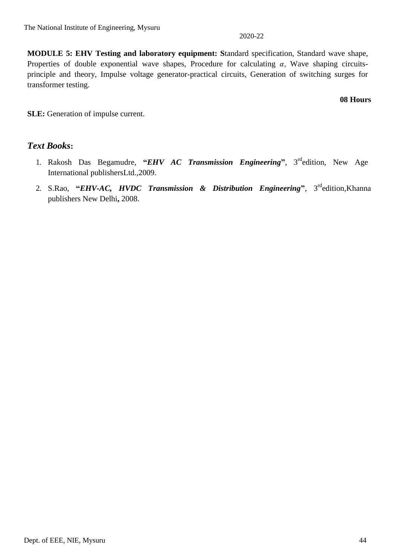**MODULE 5: EHV Testing and laboratory equipment: S**tandard specification, Standard wave shape, Properties of double exponential wave shapes, Procedure for calculating  $\alpha$ , Wave shaping circuitsprinciple and theory, Impulse voltage generator-practical circuits, Generation of switching surges for transformer testing.

#### **08 Hours**

**SLE:** Generation of impulse current.

#### *Text Books***:**

- 1. Rakosh Das Begamudre, **"***EHV AC Transmission Engineering***"**, 3rdedition, New Age International publishersLtd.,2009.
- 2. S.Rao, "*EHV-AC*, *HVDC Transmission & Distribution Engineering*", 3<sup>rd</sup>edition,Khanna publishers New Delhi**,** 2008.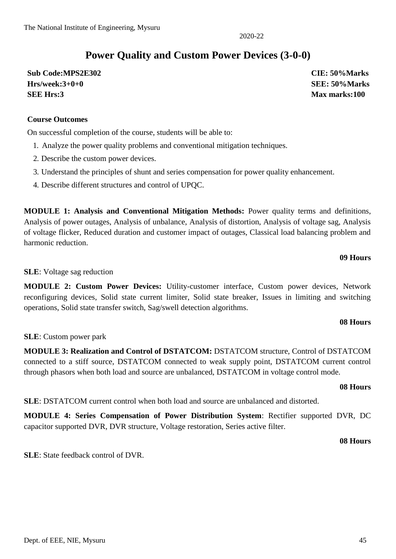### **Power Quality and Custom Power Devices (3-0-0)**

2020-22

**Sub Code:MPS2E302 CIE: 50%Marks Hrs/week:3+0+0 SEE: 50%Marks SEE Hrs:3 Max marks:100**

### **Course Outcomes**

On successful completion of the course, students will be able to:

- 1. Analyze the power quality problems and conventional mitigation techniques.
- 2. Describe the custom power devices.
- 3. Understand the principles of shunt and series compensation for power quality enhancement.
- 4. Describe different structures and control of UPQC.

**MODULE 1: Analysis and Conventional Mitigation Methods:** Power quality terms and definitions, Analysis of power outages, Analysis of unbalance, Analysis of distortion, Analysis of voltage sag, Analysis of voltage flicker, Reduced duration and customer impact of outages, Classical load balancing problem and harmonic reduction.

#### **09 Hours**

**SLE**: Voltage sag reduction

**MODULE 2: Custom Power Devices:** Utility-customer interface, Custom power devices, Network reconfiguring devices, Solid state current limiter, Solid state breaker, Issues in limiting and switching operations, Solid state transfer switch, Sag/swell detection algorithms.

#### **08 Hours**

**SLE**: Custom power park

**MODULE 3: Realization and Control of DSTATCOM:** DSTATCOM structure, Control of DSTATCOM connected to a stiff source, DSTATCOM connected to weak supply point, DSTATCOM current control through phasors when both load and source are unbalanced, DSTATCOM in voltage control mode.

#### **08 Hours**

**SLE**: DSTATCOM current control when both load and source are unbalanced and distorted.

**MODULE 4: Series Compensation of Power Distribution System**: Rectifier supported DVR, DC capacitor supported DVR, DVR structure, Voltage restoration, Series active filter.

#### **08 Hours**

**SLE**: State feedback control of DVR.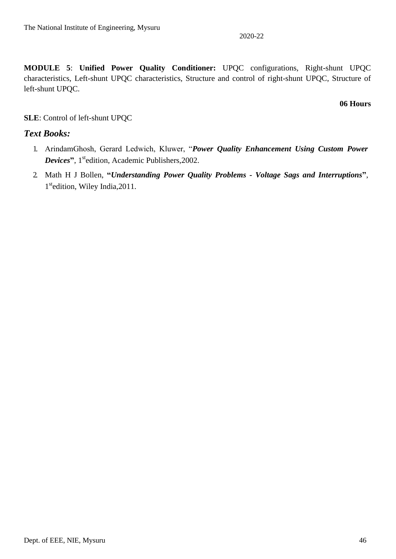**MODULE 5**: **Unified Power Quality Conditioner:** UPQC configurations, Right-shunt UPQC characteristics, Left-shunt UPQC characteristics, Structure and control of right-shunt UPQC, Structure of left-shunt UPQC.

#### **06 Hours**

#### **SLE**: Control of left-shunt UPQC

#### *Text Books:*

- 1. ArindamGhosh, Gerard Ledwich, Kluwer, "*Power Quality Enhancement Using Custom Power*  **Devices**", 1<sup>st</sup>edition, Academic Publishers, 2002.
- 2. Math H J Bollen, **"***Understanding Power Quality Problems - Voltage Sags and Interruptions***"**, 1<sup>st</sup>edition, Wiley India, 2011.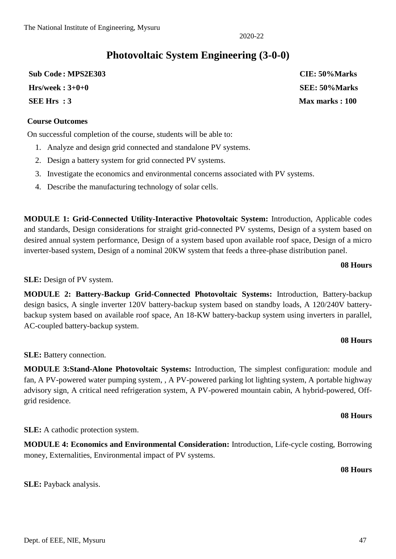**SLE:** Payback analysis.

### **Photovoltaic System Engineering (3-0-0)**

**Sub Code : MPS2E303 CIE: 50%Marks Hrs/week : 3+0+0 SEE: 50%Marks SEE Hrs : 3 Max marks : 100**

#### **Course Outcomes**

On successful completion of the course, students will be able to:

- 1. Analyze and design grid connected and standalone PV systems.
- 2. Design a battery system for grid connected PV systems.
- 3. Investigate the economics and environmental concerns associated with PV systems.
- 4. Describe the manufacturing technology of solar cells.

**MODULE 1: Grid-Connected Utility-Interactive Photovoltaic System:** Introduction, Applicable codes and standards, Design considerations for straight grid-connected PV systems, Design of a system based on desired annual system performance, Design of a system based upon available roof space, Design of a micro inverter-based system, Design of a nominal 20KW system that feeds a three-phase distribution panel.

#### **08 Hours**

#### **SLE:** Design of PV system.

**MODULE 2: Battery-Backup Grid-Connected Photovoltaic Systems:** Introduction, Battery-backup design basics, A single inverter 120V battery-backup system based on standby loads, A 120/240V batterybackup system based on available roof space, An 18-KW battery-backup system using inverters in parallel, AC-coupled battery-backup system.

#### **08 Hours**

**SLE:** Battery connection.

**MODULE 3:Stand-Alone Photovoltaic Systems:** Introduction, The simplest configuration: module and fan, A PV-powered water pumping system, , A PV-powered parking lot lighting system, A portable highway advisory sign, A critical need refrigeration system, A PV-powered mountain cabin, A hybrid-powered, Offgrid residence.

#### **08 Hours**

**SLE:** A cathodic protection system.

**MODULE 4: Economics and Environmental Consideration:** Introduction, Life-cycle costing, Borrowing money, Externalities, Environmental impact of PV systems.

**08 Hours**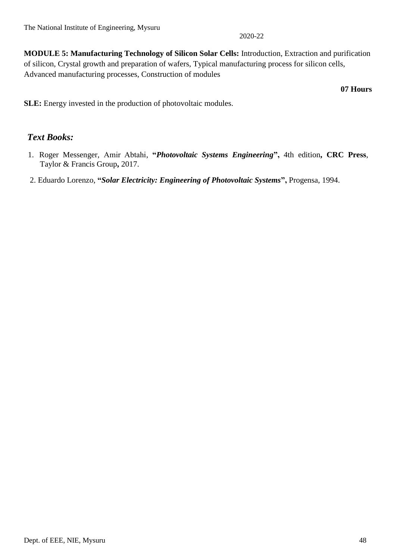**MODULE 5: Manufacturing Technology of Silicon Solar Cells:** Introduction, Extraction and purification of silicon, Crystal growth and preparation of wafers, Typical manufacturing process for silicon cells, Advanced manufacturing processes, Construction of modules

**07 Hours**

**SLE:** Energy invested in the production of photovoltaic modules.

#### *Text Books:*

- 1. Roger Messenger, Amir Abtahi, "*Photovoltaic Systems Engineering*", 4th edition, CRC Press, Taylor & Francis Group**,** 2017.
- 2. Eduardo Lorenzo, **"***Solar Electricity: Engineering of Photovoltaic Systems***",** Progensa, 1994.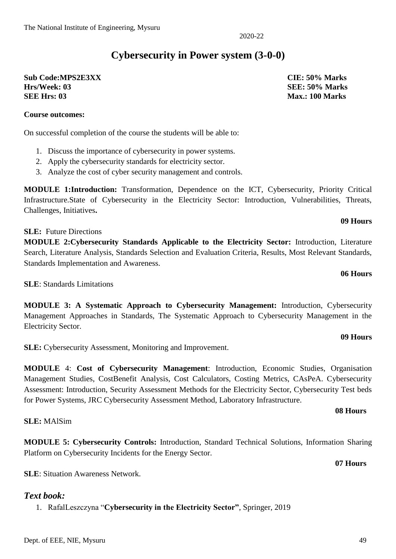### **Cybersecurity in Power system (3-0-0)**

2020-22

**Sub Code:MPS2E3XX CIE: 50% Marks Hrs/Week: 03 SEE: 50% Marks SEE Hrs: 03** Max.: 100 Marks

**Course outcomes:**

### On successful completion of the course the students will be able to:

- 1. Discuss the importance of cybersecurity in power systems.
- 2. Apply the cybersecurity standards for electricity sector.
- 3. Analyze the cost of cyber security management and controls.

**MODULE 1:Introduction:** Transformation, Dependence on the ICT, Cybersecurity, Priority Critical Infrastructure.State of Cybersecurity in the Electricity Sector: Introduction, Vulnerabilities, Threats, Challenges, Initiatives**.** 

**SLE:** Future Directions

**MODULE 2:Cybersecurity Standards Applicable to the Electricity Sector:** Introduction, Literature Search, Literature Analysis, Standards Selection and Evaluation Criteria, Results, Most Relevant Standards, Standards Implementation and Awareness.

**SLE**: Standards Limitations

**MODULE 3: A Systematic Approach to Cybersecurity Management:** Introduction, Cybersecurity Management Approaches in Standards, The Systematic Approach to Cybersecurity Management in the Electricity Sector.

**SLE:** Cybersecurity Assessment, Monitoring and Improvement.

**MODULE** 4: **Cost of Cybersecurity Management**: Introduction, Economic Studies, Organisation Management Studies, CostBenefit Analysis, Cost Calculators, Costing Metrics, CAsPeA. Cybersecurity Assessment: Introduction, Security Assessment Methods for the Electricity Sector, Cybersecurity Test beds for Power Systems, JRC Cybersecurity Assessment Method, Laboratory Infrastructure.

**SLE:** MAlSim

**MODULE 5: Cybersecurity Controls:** Introduction, Standard Technical Solutions, Information Sharing Platform on Cybersecurity Incidents for the Energy Sector.

**SLE**: Situation Awareness Network.

#### *Text book:*

1. RafalLeszczyna "**Cybersecurity in the Electricity Sector"**, Springer, 2019

#### **09 Hours**

**09 Hours**

**06 Hours**

#### **07 Hours**

**08 Hours**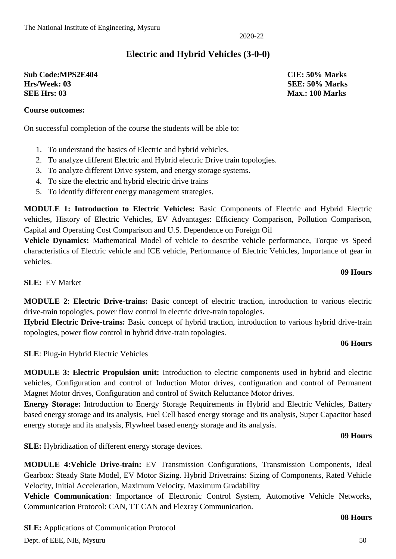### **Electric and Hybrid Vehicles (3-0-0)**

**Sub Code:MPS2E404 CIE: 50% Marks Hrs/Week: 03 SEE: 50% Marks SEE Hrs: 03** Max.: 100 Marks

#### **Course outcomes:**

On successful completion of the course the students will be able to:

- 1. To understand the basics of Electric and hybrid vehicles.
- 2. To analyze different Electric and Hybrid electric Drive train topologies.
- 3. To analyze different Drive system, and energy storage systems.
- 4. To size the electric and hybrid electric drive trains
- 5. To identify different energy management strategies.

**MODULE 1: Introduction to Electric Vehicles:** Basic Components of Electric and Hybrid Electric vehicles, History of Electric Vehicles, EV Advantages: Efficiency Comparison, Pollution Comparison, Capital and Operating Cost Comparison and U.S. Dependence on Foreign Oil

**Vehicle Dynamics:** Mathematical Model of vehicle to describe vehicle performance, Torque vs Speed characteristics of Electric vehicle and ICE vehicle, Performance of Electric Vehicles, Importance of gear in vehicles.

#### **SLE:** EV Market

**MODULE 2**: **Electric Drive-trains:** Basic concept of electric traction, introduction to various electric drive-train topologies, power flow control in electric drive-train topologies.

**Hybrid Electric Drive-trains:** Basic concept of hybrid traction, introduction to various hybrid drive-train topologies, power flow control in hybrid drive-train topologies.

#### **06 Hours**

**09 Hours**

**SLE**: Plug-in Hybrid Electric Vehicles

**MODULE 3: Electric Propulsion unit:** Introduction to electric components used in hybrid and electric vehicles, Configuration and control of Induction Motor drives, configuration and control of Permanent Magnet Motor drives, Configuration and control of Switch Reluctance Motor drives.

**Energy Storage:** Introduction to Energy Storage Requirements in Hybrid and Electric Vehicles, Battery based energy storage and its analysis, Fuel Cell based energy storage and its analysis, Super Capacitor based energy storage and its analysis, Flywheel based energy storage and its analysis.

#### **09 Hours**

**SLE:** Hybridization of different energy storage devices.

**MODULE 4:Vehicle Drive-train:** EV Transmission Configurations, Transmission Components, Ideal Gearbox: Steady State Model, EV Motor Sizing. Hybrid Drivetrains: Sizing of Components, Rated Vehicle Velocity, Initial Acceleration, Maximum Velocity, Maximum Gradability

**Vehicle Communication**: Importance of Electronic Control System, Automotive Vehicle Networks, Communication Protocol: CAN, TT CAN and Flexray Communication.

#### **08 Hours**

Dept. of EEE, NIE, Mysuru 50 **SLE:** Applications of Communication Protocol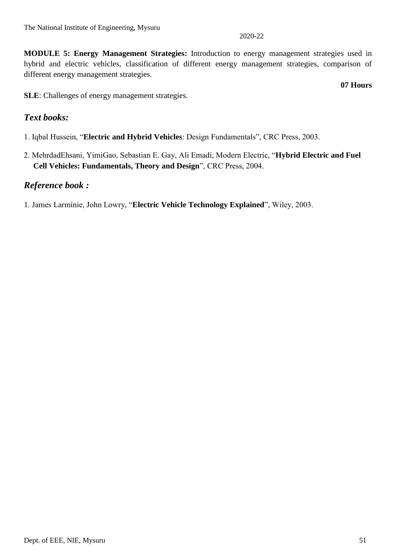**MODULE 5: Energy Management Strategies:** Introduction to energy management strategies used in hybrid and electric vehicles, classification of different energy management strategies, comparison of different energy management strategies.

**07 Hours**

**SLE**: Challenges of energy management strategies.

#### *Text books:*

- 1. Iqbal Hussein, "**Electric and Hybrid Vehicles**: Design Fundamentals", CRC Press, 2003.
- 2. MehrdadEhsani, YimiGao, Sebastian E. Gay, Ali Emadi, Modern Electric, "**Hybrid Electric and Fuel Cell Vehicles: Fundamentals, Theory and Design**", CRC Press, 2004.

#### *Reference book :*

1. James Larminie, John Lowry, "**Electric Vehicle Technology Explained**", Wiley, 2003.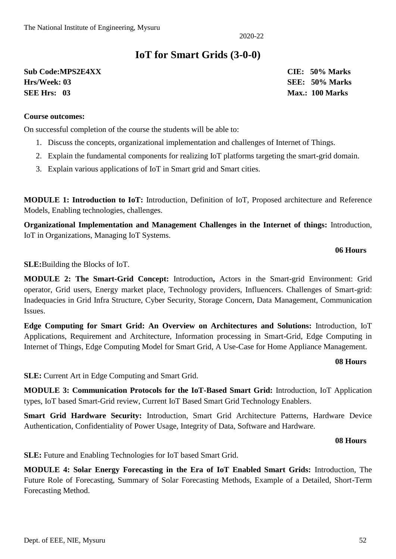### **IoT for Smart Grids (3-0-0)**

**Sub Code:MPS2E4XX CIE: 50% Marks Hrs/Week: 03 SEE: 50% Marks SEE Hrs: 03 Max.: 100 Marks**

#### **Course outcomes:**

On successful completion of the course the students will be able to:

- 1. Discuss the concepts, organizational implementation and challenges of Internet of Things.
- 2. Explain the fundamental components for realizing IoT platforms targeting the smart-grid domain.
- 3. Explain various applications of IoT in Smart grid and Smart cities.

**MODULE 1: Introduction to IoT:** Introduction, Definition of IoT, Proposed architecture and Reference Models, Enabling technologies, challenges.

**Organizational Implementation and Management Challenges in the Internet of things:** Introduction, IoT in Organizations, Managing IoT Systems.

#### **06 Hours**

**SLE:**Building the Blocks of IoT.

**MODULE 2: The Smart-Grid Concept:** Introduction**,** Actors in the Smart-grid Environment: Grid operator, Grid users, Energy market place, Technology providers, Influencers. Challenges of Smart-grid: Inadequacies in Grid Infra Structure, Cyber Security, Storage Concern, Data Management, Communication Issues.

**Edge Computing for Smart Grid: An Overview on Architectures and Solutions:** Introduction, IoT Applications, Requirement and Architecture, Information processing in Smart-Grid, Edge Computing in Internet of Things, Edge Computing Model for Smart Grid, A Use-Case for Home Appliance Management.

#### **08 Hours**

**SLE:** Current Art in Edge Computing and Smart Grid.

**MODULE 3: Communication Protocols for the IoT-Based Smart Grid:** Introduction, IoT Application types, IoT based Smart-Grid review, Current IoT Based Smart Grid Technology Enablers.

**Smart Grid Hardware Security:** Introduction, Smart Grid Architecture Patterns, Hardware Device Authentication, Confidentiality of Power Usage, Integrity of Data, Software and Hardware.

#### **08 Hours**

**SLE:** Future and Enabling Technologies for IoT based Smart Grid.

**MODULE 4: Solar Energy Forecasting in the Era of IoT Enabled Smart Grids:** Introduction, The Future Role of Forecasting, Summary of Solar Forecasting Methods, Example of a Detailed, Short-Term Forecasting Method.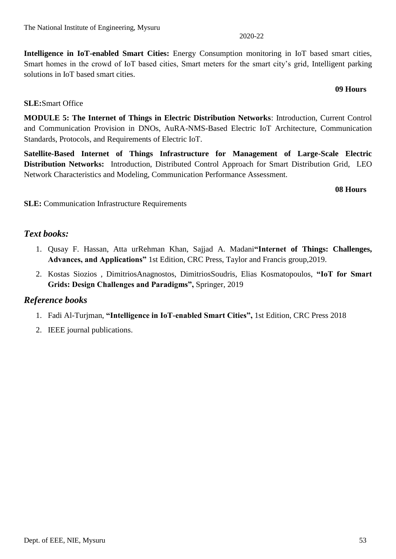**Intelligence in IoT-enabled Smart Cities:** Energy Consumption monitoring in IoT based smart cities, Smart homes in the crowd of IoT based cities, Smart meters for the smart city's grid, Intelligent parking solutions in IoT based smart cities.

#### **SLE:**Smart Office

**MODULE 5: The Internet of Things in Electric Distribution Networks**: Introduction, Current Control and Communication Provision in DNOs, AuRA-NMS-Based Electric IoT Architecture, Communication Standards, Protocols, and Requirements of Electric IoT.

**Satellite-Based Internet of Things Infrastructure for Management of Large-Scale Electric Distribution Networks:** Introduction, Distributed Control Approach for Smart Distribution Grid, LEO Network Characteristics and Modeling, Communication Performance Assessment.

**08 Hours**

**09 Hours**

**SLE:** Communication Infrastructure Requirements

### *Text books:*

- 1. Qusay F. Hassan, Atta urRehman Khan, Sajjad A. Madani**"Internet of Things: Challenges, Advances, and Applications"** 1st Edition, CRC Press, Taylor and Francis group,2019.
- 2. Kostas Siozios , DimitriosAnagnostos, DimitriosSoudris, Elias Kosmatopoulos, **"IoT for Smart Grids: Design Challenges and Paradigms",** Springer, 2019

#### *Reference books*

- 1. Fadi Al-Turjman, **"Intelligence in IoT-enabled Smart Cities",** 1st Edition, CRC Press 2018
- 2. IEEE journal publications.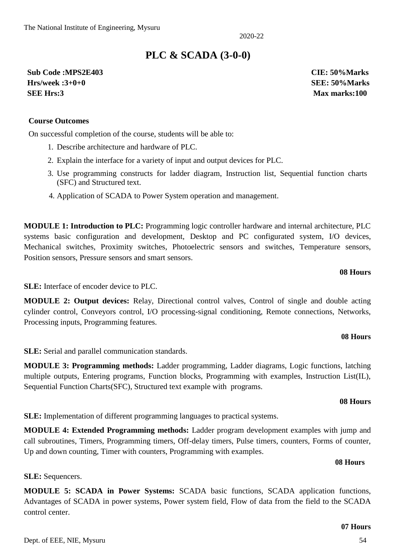**SLE:** Sequencers.

control center.

2020-22

### **PLC & SCADA (3-0-0)**

**Sub Code :MPS2E403 CIE: 50%Marks Hrs/week :3+0+0 SEE: 50%Marks SEE Hrs:3 Max marks:100**

#### **Course Outcomes**

On successful completion of the course, students will be able to:

- 1. Describe architecture and hardware of PLC.
- 2. Explain the interface for a variety of input and output devices for PLC.
- 3. Use programming constructs for ladder diagram, Instruction list, Sequential function charts (SFC) and Structured text.
- 4. Application of SCADA to Power System operation and management.

**MODULE 1: Introduction to PLC:** Programming logic controller hardware and internal architecture, PLC systems basic configuration and development, Desktop and PC configurated system, I/O devices, Mechanical switches, Proximity switches, Photoelectric sensors and switches, Temperature sensors, Position sensors, Pressure sensors and smart sensors.

#### **08 Hours**

**SLE:** Interface of encoder device to PLC.

**MODULE 2: Output devices:** Relay, Directional control valves, Control of single and double acting cylinder control, Conveyors control, I/O processing-signal conditioning, Remote connections, Networks, Processing inputs, Programming features.

#### **08 Hours**

**SLE:** Serial and parallel communication standards.

**MODULE 3: Programming methods:** Ladder programming, Ladder diagrams, Logic functions, latching multiple outputs, Entering programs, Function blocks, Programming with examples, Instruction List(IL), Sequential Function Charts(SFC), Structured text example with programs.

**MODULE 5: SCADA in Power Systems:** SCADA basic functions, SCADA application functions, Advantages of SCADA in power systems, Power system field, Flow of data from the field to the SCADA

**SLE:** Implementation of different programming languages to practical systems.

Up and down counting, Timer with counters, Programming with examples.

#### **08 Hours**

#### **08 Hours**

#### **07 Hours**

**MODULE 4: Extended Programming methods:** Ladder program development examples with jump and

call subroutines, Timers, Programming timers, Off-delay timers, Pulse timers, counters, Forms of counter,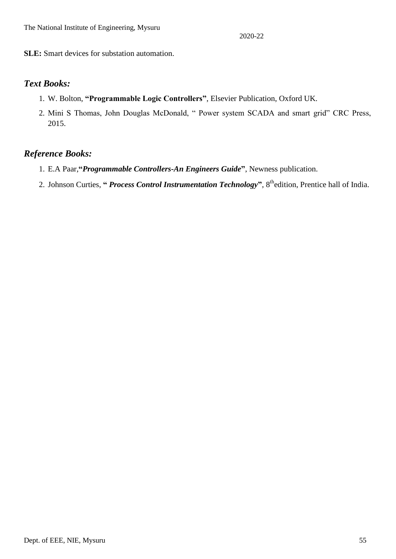**SLE:** Smart devices for substation automation.

#### *Text Books:*

- 1. W. Bolton, **"Programmable Logic Controllers"**, Elsevier Publication, Oxford UK.
- 2. Mini S Thomas, John Douglas McDonald, " Power system SCADA and smart grid" CRC Press, 2015.

#### *Reference Books:*

- 1. E.A Paar,**"***Programmable Controllers-An Engineers Guide***"**, Newness publication.
- 2. Johnson Curties, **"** *Process Control Instrumentation Technology***"**, 8thedition, Prentice hall of India.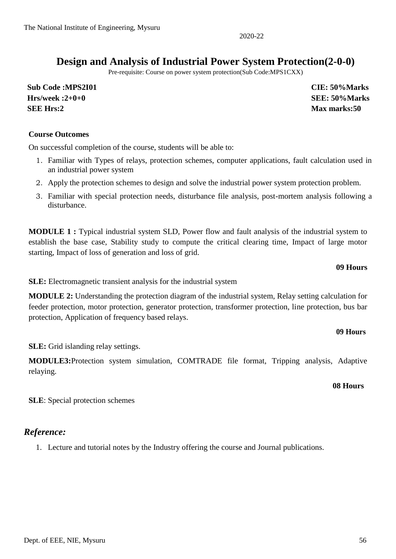### **Design and Analysis of Industrial Power System Protection(2-0-0)**

Pre-requisite: Course on power system protection(Sub Code:MPS1CXX)

**Sub Code :MPS2I01 CIE: 50%Marks Hrs/week :2+0+0 SEE: 50%Marks SEE Hrs:2 Max marks:50**

#### **Course Outcomes**

On successful completion of the course, students will be able to:

- 1. Familiar with Types of relays, protection schemes, computer applications, fault calculation used in an industrial power system
- 2. Apply the protection schemes to design and solve the industrial power system protection problem.
- 3. Familiar with special protection needs, disturbance file analysis, post-mortem analysis following a disturbance.

**MODULE 1 :** Typical industrial system SLD, Power flow and fault analysis of the industrial system to establish the base case, Stability study to compute the critical clearing time, Impact of large motor starting, Impact of loss of generation and loss of grid.

#### **09 Hours**

**SLE:** Electromagnetic transient analysis for the industrial system

**MODULE 2:** Understanding the protection diagram of the industrial system, Relay setting calculation for feeder protection, motor protection, generator protection, transformer protection, line protection, bus bar protection, Application of frequency based relays.

#### **09 Hours**

**SLE:** Grid islanding relay settings.

**MODULE3:**Protection system simulation, COMTRADE file format, Tripping analysis, Adaptive relaying.

#### **08 Hours**

**SLE**: Special protection schemes

#### *Reference:*

1. Lecture and tutorial notes by the Industry offering the course and Journal publications.

2020-22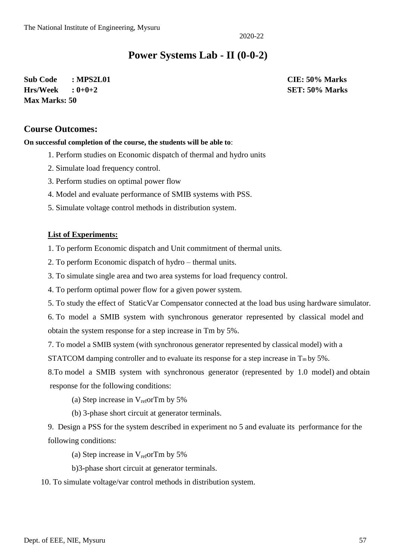### **Power Systems Lab - II (0-0-2)**

**Sub Code : MPS2L01 CIE: 50% Marks Hrs/Week : 0+0+2 SET: 50% Marks Max Marks: 50**

#### **Course Outcomes:**

**On successful completion of the course, the students will be able to**:

- 1. Perform studies on Economic dispatch of thermal and hydro units
- 2. Simulate load frequency control.
- 3. Perform studies on optimal power flow
- 4. Model and evaluate performance of SMIB systems with PSS.
- 5. Simulate voltage control methods in distribution system.

#### **List of Experiments:**

1. To perform Economic dispatch and Unit commitment of thermal units.

- 2. To perform Economic dispatch of hydro thermal units.
- 3. To simulate single area and two area systems for load frequency control.
- 4. To perform optimal power flow for a given power system.
- 5. To study the effect of StaticVar Compensator connected at the load bus using hardware simulator.

6. To model a SMIB system with synchronous generator represented by classical model and obtain the system response for a step increase in Tm by 5%.

7. To model a SMIB system (with synchronous generator represented by classical model) with a

STATCOM damping controller and to evaluate its response for a step increase in  $T_m$  by 5%.

8.To model a SMIB system with synchronous generator (represented by 1.0 model) and obtain response for the following conditions:

- (a) Step increase in  $V_{ref}$  or Tm by 5%
- (b) 3-phase short circuit at generator terminals.

9. Design a PSS for the system described in experiment no 5 and evaluate its performance for the following conditions:

(a) Step increase in  $V_{ref}$ orTm by 5%

b)3-phase short circuit at generator terminals.

10. To simulate voltage/var control methods in distribution system.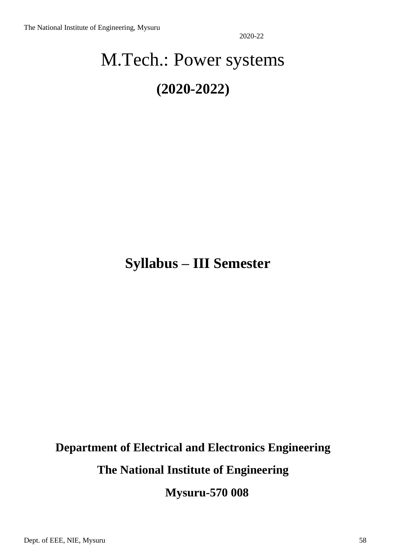# M.Tech.: Power systems **(2020-2022)**

## **Syllabus – III Semester**

### **Department of Electrical and Electronics Engineering**

**The National Institute of Engineering**

**Mysuru-570 008**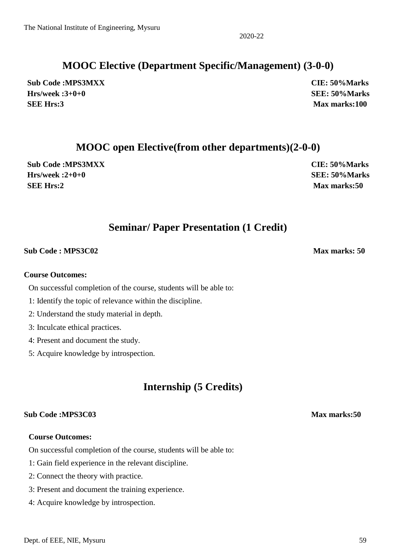### **MOOC Elective (Department Specific/Management) (3-0-0)**

**Sub Code :MPS3MXX CIE: 50%Marks Hrs/week :3+0+0 SEE: 50%Marks SEE Hrs:3 Max marks:100**

### **MOOC open Elective(from other departments)(2-0-0)**

**Sub Code :MPS3MXX CIE: 50%Marks Hrs/week :2+0+0 SEE: 50%Marks SEE Hrs:2 Max marks:50**

### **Seminar/ Paper Presentation (1 Credit)**

### **Sub Code : MPS3C02** Max marks: 50

#### **Course Outcomes:**

On successful completion of the course, students will be able to:

- 1: Identify the topic of relevance within the discipline.
- 2: Understand the study material in depth.
- 3: Inculcate ethical practices.
- 4: Present and document the study.
- 5: Acquire knowledge by introspection.

### **Internship (5 Credits)**

#### **Sub Code :MPS3C03 Max marks:50**

#### **Course Outcomes:**

On successful completion of the course, students will be able to:

- 1: Gain field experience in the relevant discipline.
- 2: Connect the theory with practice.
- 3: Present and document the training experience.
- 4: Acquire knowledge by introspection.

2020-22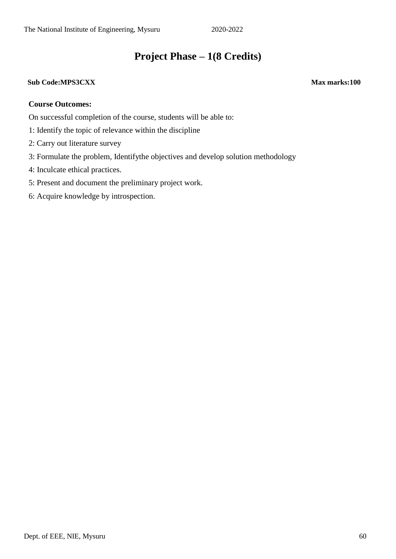### **Project Phase – 1(8 Credits)**

#### **Sub Code:MPS3CXX Max marks:100**

#### **Course Outcomes:**

On successful completion of the course, students will be able to:

- 1: Identify the topic of relevance within the discipline
- 2: Carry out literature survey
- 3: Formulate the problem, Identifythe objectives and develop solution methodology
- 4: Inculcate ethical practices.
- 5: Present and document the preliminary project work.
- 6: Acquire knowledge by introspection.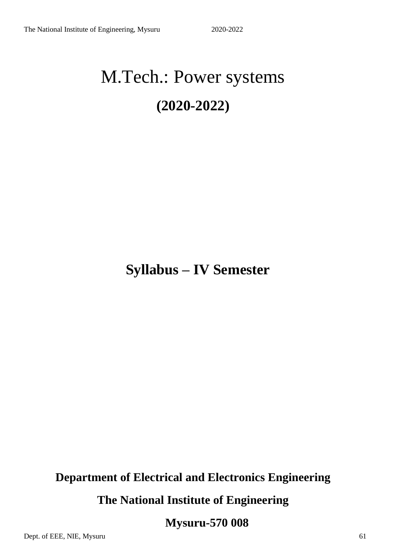# M.Tech.: Power systems **(2020-2022)**

## **Syllabus – IV Semester**

### **Department of Electrical and Electronics Engineering**

**The National Institute of Engineering**

**Mysuru-570 008**